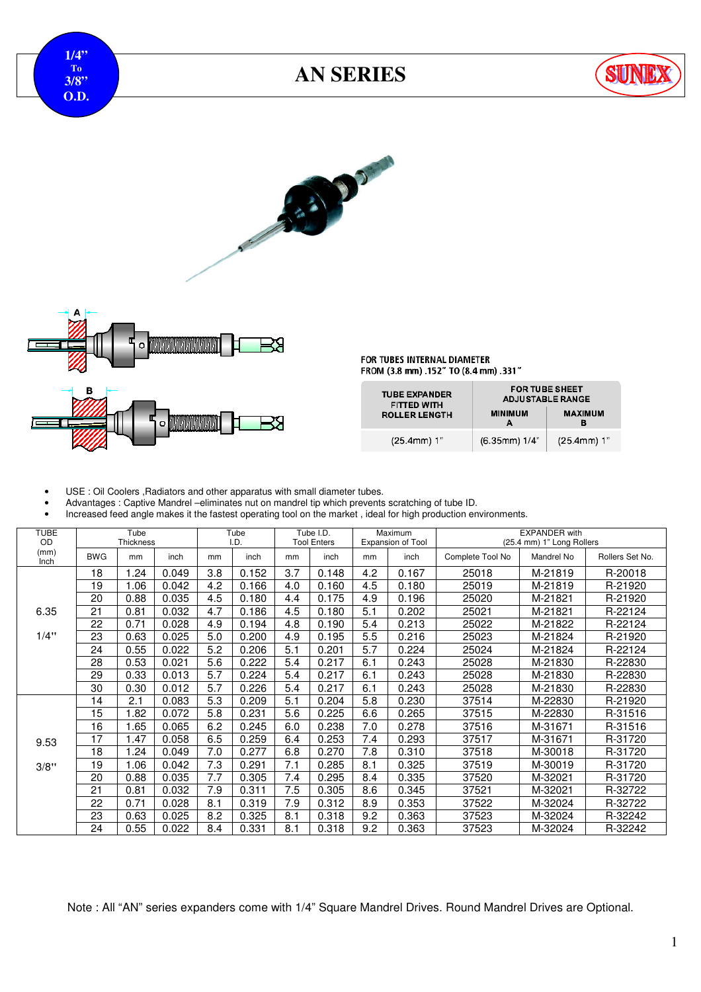

## **AN SERIES**







FOR TUBES INTERNAL DIAMETER FROM (3.8 mm) .152" TO (8.4 mm) .331"

| <b>TUBE EXPANDER</b><br><b>FITTED WITH</b> |                 | <b>FOR TUBE SHEET</b><br><b>ADJUSTABLE RANGE</b> |
|--------------------------------------------|-----------------|--------------------------------------------------|
| <b>ROLLER LENGTH</b>                       | <b>MINIMUM</b>  | <b>MAXIMUM</b>                                   |
| $(25.4mm)$ 1"                              | $(6.35mm)$ 1/4" | $(25.4mm)$ 1"                                    |

• USE : Oil Coolers ,Radiators and other apparatus with small diameter tubes.

• Advantages : Captive Mandrel –eliminates nut on mandrel tip which prevents scratching of tube ID.

• Increased feed angle makes it the fastest operating tool on the market , ideal for high production environments.

| <b>TUBE</b><br>OD |            | Tube<br>Thickness |       |     | Tube<br>I.D. |     | Tube I.D.<br><b>Tool Enters</b> |     | Maximum<br>Expansion of Tool |                  | <b>EXPANDER</b> with<br>(25.4 mm) 1" Long Rollers |                 |
|-------------------|------------|-------------------|-------|-----|--------------|-----|---------------------------------|-----|------------------------------|------------------|---------------------------------------------------|-----------------|
| (mm)<br>Inch      | <b>BWG</b> | mm                | inch  | mm  | inch         | mm  | inch                            | mm  | inch                         | Complete Tool No | Mandrel No                                        | Rollers Set No. |
|                   | 18         | .24               | 0.049 | 3.8 | 0.152        | 3.7 | 0.148                           | 4.2 | 0.167                        | 25018            | M-21819                                           | R-20018         |
|                   | 19         | 1.06              | 0.042 | 4.2 | 0.166        | 4.0 | 0.160                           | 4.5 | 0.180                        | 25019            | M-21819                                           | R-21920         |
|                   | 20         | 0.88              | 0.035 | 4.5 | 0.180        | 4.4 | 0.175                           | 4.9 | 0.196                        | 25020            | M-21821                                           | R-21920         |
| 6.35              | 21         | 0.81              | 0.032 | 4.7 | 0.186        | 4.5 | 0.180                           | 5.1 | 0.202                        | 25021            | M-21821                                           | R-22124         |
|                   | 22         | 0.71              | 0.028 | 4.9 | 0.194        | 4.8 | 0.190                           | 5.4 | 0.213                        | 25022            | M-21822                                           | R-22124         |
| 1/4"              | 23         | 0.63              | 0.025 | 5.0 | 0.200        | 4.9 | 0.195                           | 5.5 | 0.216                        | 25023            | M-21824                                           | R-21920         |
|                   | 24         | 0.55              | 0.022 | 5.2 | 0.206        | 5.1 | 0.201                           | 5.7 | 0.224                        | 25024            | M-21824                                           | R-22124         |
|                   | 28         | 0.53              | 0.021 | 5.6 | 0.222        | 5.4 | 0.217                           | 6.1 | 0.243                        | 25028            | M-21830                                           | R-22830         |
|                   | 29         | 0.33              | 0.013 | 5.7 | 0.224        | 5.4 | 0.217                           | 6.1 | 0.243                        | 25028            | M-21830                                           | R-22830         |
|                   | 30         | 0.30              | 0.012 | 5.7 | 0.226        | 5.4 | 0.217                           | 6.1 | 0.243                        | 25028            | M-21830                                           | R-22830         |
|                   | 14         | 2.1               | 0.083 | 5.3 | 0.209        | 5.1 | 0.204                           | 5.8 | 0.230                        | 37514            | M-22830                                           | R-21920         |
|                   | 15         | 1.82              | 0.072 | 5.8 | 0.231        | 5.6 | 0.225                           | 6.6 | 0.265                        | 37515            | M-22830                                           | R-31516         |
|                   | 16         | 1.65              | 0.065 | 6.2 | 0.245        | 6.0 | 0.238                           | 7.0 | 0.278                        | 37516            | M-31671                                           | R-31516         |
| 9.53              | 17         | 1.47              | 0.058 | 6.5 | 0.259        | 6.4 | 0.253                           | 7.4 | 0.293                        | 37517            | M-31671                                           | R-31720         |
|                   | 18         | .24               | 0.049 | 7.0 | 0.277        | 6.8 | 0.270                           | 7.8 | 0.310                        | 37518            | M-30018                                           | R-31720         |
| 3/8"              | 19         | 1.06              | 0.042 | 7.3 | 0.291        | 7.1 | 0.285                           | 8.1 | 0.325                        | 37519            | M-30019                                           | R-31720         |
|                   | 20         | 0.88              | 0.035 | 7.7 | 0.305        | 7.4 | 0.295                           | 8.4 | 0.335                        | 37520            | M-32021                                           | R-31720         |
|                   | 21         | 0.81              | 0.032 | 7.9 | 0.311        | 7.5 | 0.305                           | 8.6 | 0.345                        | 37521            | M-32021                                           | R-32722         |
|                   | 22         | 0.71              | 0.028 | 8.1 | 0.319        | 7.9 | 0.312                           | 8.9 | 0.353                        | 37522            | M-32024                                           | R-32722         |
|                   | 23         | 0.63              | 0.025 | 8.2 | 0.325        | 8.1 | 0.318                           | 9.2 | 0.363                        | 37523            | M-32024                                           | R-32242         |
|                   | 24         | 0.55              | 0.022 | 8.4 | 0.331        | 8.1 | 0.318                           | 9.2 | 0.363                        | 37523            | M-32024                                           | R-32242         |

Note : All "AN" series expanders come with 1/4" Square Mandrel Drives. Round Mandrel Drives are Optional.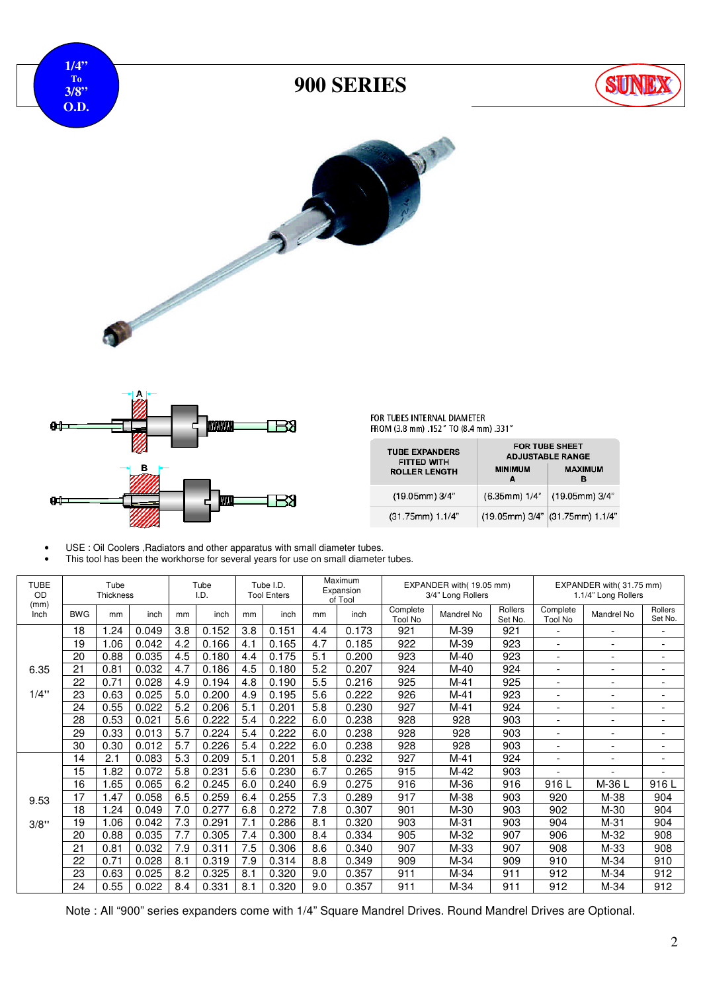



FOR TUBES INTERNAL DIAMETER<br>FROM (3.8 mm) .152" TO (8.4 mm) .331"

| <b>TUBE EXPANDERS</b><br><b>FITTED WITH</b><br><b>ROLLER LENGTH</b> | <b>MINIMUM</b><br>A | <b>FOR TUBE SHEET</b><br><b>ADJUSTABLE RANGE</b><br><b>MAXIMUM</b><br>в |
|---------------------------------------------------------------------|---------------------|-------------------------------------------------------------------------|
| $(19.05mm)$ 3/4"                                                    | (6.35mm) 1/4"       | (19.05mm) 3/4"                                                          |
| (31.75mm) 1.1/4"                                                    |                     | (19.05mm) 3/4" (31.75mm) 1.1/4"                                         |

- USE : Oil Coolers , Radiators and other apparatus with small diameter tubes.
- This tool has been the workhorse for several years for use on small diameter tubes.

| <b>TUBE</b><br><b>OD</b><br>(mm) |            | Tube<br><b>Thickness</b> |       |     | Tube<br>I.D. |     | Tube I.D.<br><b>Tool Enters</b> | Maximum<br>Expansion<br>of Tool |       | EXPANDER with(19.05 mm)<br>3/4" Long Rollers |            |                    | EXPANDER with (31.75 mm)<br>1.1/4" Long Rollers |                          |                          |
|----------------------------------|------------|--------------------------|-------|-----|--------------|-----|---------------------------------|---------------------------------|-------|----------------------------------------------|------------|--------------------|-------------------------------------------------|--------------------------|--------------------------|
| Inch                             | <b>BWG</b> | mm                       | inch  | mm  | inch         | mm  | inch                            | mm                              | inch  | Complete<br><b>Tool No</b>                   | Mandrel No | Rollers<br>Set No. | Complete<br><b>Tool No</b>                      | Mandrel No               | Rollers<br>Set No.       |
|                                  | 18         | .24                      | 0.049 | 3.8 | 0.152        | 3.8 | 0.151                           | 4.4                             | 0.173 | 921                                          | M-39       | 921                |                                                 |                          | ۰                        |
|                                  | 19         | .06                      | 0.042 | 4.2 | 0.166        | 4.1 | 0.165                           | 4.7                             | 0.185 | 922                                          | M-39       | 923                | $\overline{\phantom{0}}$                        | $\overline{\phantom{a}}$ | $\overline{\phantom{a}}$ |
|                                  | 20         | 0.88                     | 0.035 | 4.5 | 0.180        | 4.4 | 0.175                           | 5.1                             | 0.200 | 923                                          | $M-40$     | 923                | $\overline{\phantom{0}}$                        | $\overline{\phantom{0}}$ | ۰                        |
| 6.35                             | 21         | 0.81                     | 0.032 | 4.7 | 0.186        | 4.5 | 0.180                           | 5.2                             | 0.207 | 924                                          | $M-40$     | 924                | $\overline{\phantom{0}}$                        | $\overline{\phantom{a}}$ | ۰                        |
|                                  | 22         | 0.71                     | 0.028 | 4.9 | 0.194        | 4.8 | 0.190                           | 5.5                             | 0.216 | 925                                          | $M-41$     | 925                | $\overline{\phantom{0}}$                        | $\overline{\phantom{a}}$ | ۰                        |
| 1/4"                             | 23         | 0.63                     | 0.025 | 5.0 | 0.200        | 4.9 | 0.195                           | 5.6                             | 0.222 | 926                                          | $M-41$     | 923                | ۰                                               | $\overline{\phantom{a}}$ | ۰                        |
|                                  | 24         | 0.55                     | 0.022 | 5.2 | 0.206        | 5.1 | 0.201                           | 5.8                             | 0.230 | 927                                          | $M-41$     | 924                | $\overline{\phantom{a}}$                        | $\overline{\phantom{a}}$ | ۰                        |
|                                  | 28         | 0.53                     | 0.021 | 5.6 | 0.222        | 5.4 | 0.222                           | 6.0                             | 0.238 | 928                                          | 928        | 903                | $\overline{\phantom{a}}$                        | $\overline{\phantom{a}}$ | $\overline{\phantom{a}}$ |
|                                  | 29         | 0.33                     | 0.013 | 5.7 | 0.224        | 5.4 | 0.222                           | 6.0                             | 0.238 | 928                                          | 928        | 903                | $\overline{\phantom{0}}$                        | $\overline{\phantom{a}}$ | ۰                        |
|                                  | 30         | 0.30                     | 0.012 | 5.7 | 0.226        | 5.4 | 0.222                           | 6.0                             | 0.238 | 928                                          | 928        | 903                | ۰                                               | $\overline{\phantom{a}}$ | $\overline{\phantom{0}}$ |
|                                  | 14         | 2.1                      | 0.083 | 5.3 | 0.209        | 5.1 | 0.201                           | 5.8                             | 0.232 | 927                                          | $M-41$     | 924                | ۰                                               | $\overline{\phantom{a}}$ | $\overline{\phantom{0}}$ |
|                                  | 15         | 1.82                     | 0.072 | 5.8 | 0.231        | 5.6 | 0.230                           | 6.7                             | 0.265 | 915                                          | M-42       | 903                |                                                 |                          | ۰                        |
|                                  | 16         | .65                      | 0.065 | 6.2 | 0.245        | 6.0 | 0.240                           | 6.9                             | 0.275 | 916                                          | M-36       | 916                | 916 L                                           | M-36 L                   | 916L                     |
| 9.53                             | 17         | 1.47                     | 0.058 | 6.5 | 0.259        | 6.4 | 0.255                           | 7.3                             | 0.289 | 917                                          | M-38       | 903                | 920                                             | M-38                     | 904                      |
|                                  | 18         | .24                      | 0.049 | 7.0 | 0.277        | 6.8 | 0.272                           | 7.8                             | 0.307 | 901                                          | M-30       | 903                | 902                                             | M-30                     | 904                      |
| 3/8"                             | 19         | .06                      | 0.042 | 7.3 | 0.291        | 7.1 | 0.286                           | 8.1                             | 0.320 | 903                                          | M-31       | 903                | 904                                             | M-31                     | 904                      |
|                                  | 20         | 0.88                     | 0.035 | 7.7 | 0.305        | 7.4 | 0.300                           | 8.4                             | 0.334 | 905                                          | M-32       | 907                | 906                                             | M-32                     | 908                      |
|                                  | 21         | 0.81                     | 0.032 | 7.9 | 0.311        | 7.5 | 0.306                           | 8.6                             | 0.340 | 907                                          | M-33       | 907                | 908                                             | M-33                     | 908                      |
|                                  | 22         | 0.71                     | 0.028 | 8.1 | 0.319        | 7.9 | 0.314                           | 8.8                             | 0.349 | 909                                          | $M-34$     | 909                | 910                                             | M-34                     | 910                      |
|                                  | 23         | 0.63                     | 0.025 | 8.2 | 0.325        | 8.1 | 0.320                           | 9.0                             | 0.357 | 911                                          | $M-34$     | 911                | 912                                             | M-34                     | 912                      |
|                                  | 24         | 0.55                     | 0.022 | 8.4 | 0.331        | 8.1 | 0.320                           | 9.0                             | 0.357 | 911                                          | M-34       | 911                | 912                                             | M-34                     | 912                      |

Note : All "900" series expanders come with 1/4" Square Mandrel Drives. Round Mandrel Drives are Optional.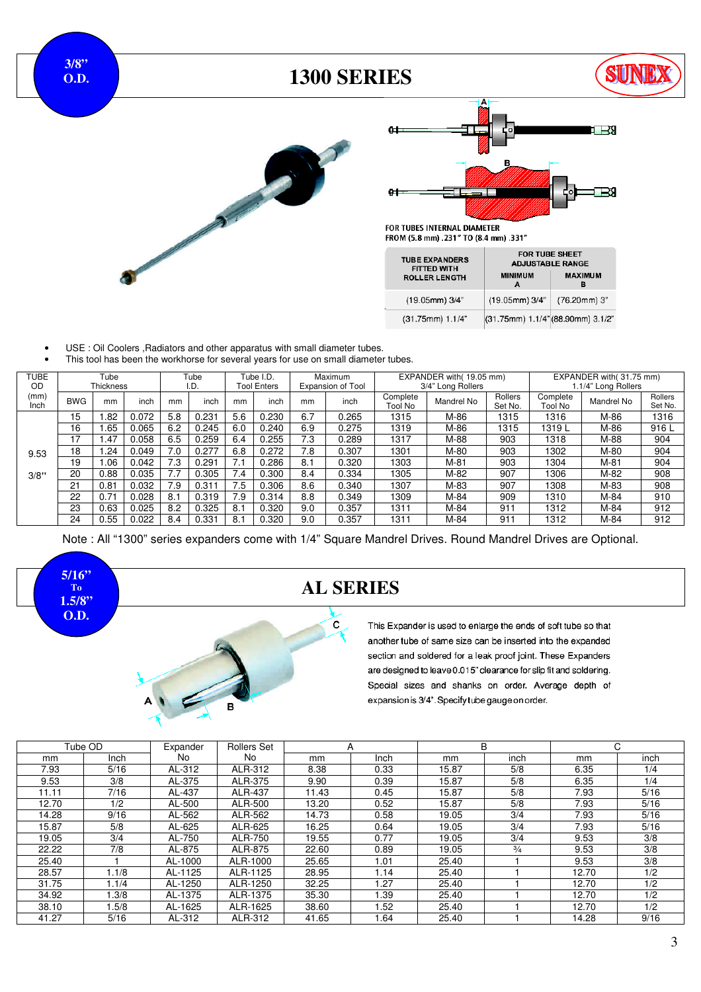**3/8" O.D.** 

### **1300 SERIES**







#### FOR TUBES INTERNAL DIAMETER FROM (5.8 mm) .231" TO (8.4 mm) .331"

| <b>TUBE EXPANDERS</b><br><b>FITTED WITH</b><br><b>ROLLER LENGTH</b> | <b>FOR TUBE SHEET</b><br><b>ADJUSTABLE RANGE</b><br><b>MINIMUM</b> | <b>MAXIMUM</b> |
|---------------------------------------------------------------------|--------------------------------------------------------------------|----------------|
|                                                                     | A                                                                  | в              |
| (19.05mm) 3/4"                                                      | (19.05mm) 3/4"                                                     | (76.20mm) 3"   |
| (31.75mm) 1.1/4"                                                    | (31.75mm) 1.1/4" (88.90mm) 3.1/2"                                  |                |

- USE : Oil Coolers , Radiators and other apparatus with small diameter tubes.
- This tool has been the workhorse for several years for use on small diameter tubes.

| <b>TUBE</b>  |            | Tube      |       |     | Tube  |     | Tube I.D.          | Maximum |                          |                     | EXPANDER with(19.05 mm) |                    |                     | EXPANDER with (31.75 mm) |                    |
|--------------|------------|-----------|-------|-----|-------|-----|--------------------|---------|--------------------------|---------------------|-------------------------|--------------------|---------------------|--------------------------|--------------------|
| OD           |            | Thickness |       |     | I.D.  |     | <b>Tool Enters</b> |         | <b>Expansion of Tool</b> |                     | 3/4" Long Rollers       |                    |                     | 1.1/4" Long Rollers      |                    |
| (mm)<br>Inch | <b>BWG</b> | mm        | inch  | mm  | inch  | mm  | inch               | mm      | inch                     | Complete<br>Tool No | Mandrel No              | Rollers<br>Set No. | Complete<br>Tool No | Mandrel No               | Rollers<br>Set No. |
|              | 15         | .82       | 0.072 | 5.8 | 0.231 | 5.6 | 0.230              | 6.7     | 0.265                    | 1315                | M-86                    | 1315               | 1316                | M-86                     | 1316               |
|              | 16         | .65       | 0.065 | 6.2 | 0.245 | 6.0 | 0.240              | 6.9     | 0.275                    | 1319                | M-86                    | 1315               | 1319L               | M-86                     | 916L               |
|              | 17         | 1.47      | 0.058 | 6.5 | 0.259 | 6.4 | 0.255              | 7.3     | 0.289                    | 1317                | M-88                    | 903                | 1318                | M-88                     | 904                |
| 9.53         | 18         | .24       | 0.049 | 7.0 | 0.277 | 6.8 | 0.272              | 7.8     | 0.307                    | 1301                | M-80                    | 903                | 1302                | M-80                     | 904                |
|              | 19         | .06       | 0.042 | 7.3 | 0.291 |     | 0.286              | 8.1     | 0.320                    | 1303                | $M-81$                  | 903                | 1304                | $M-81$                   | 904                |
| 3/8"         | 20         | 0.88      | 0.035 | 7.7 | 0.305 | 7.4 | 0.300              | 8.4     | 0.334                    | 1305                | M-82                    | 907                | 1306                | M-82                     | 908                |
|              | 21         | 0.81      | 0.032 | 7.9 | 0.311 | 7.5 | 0.306              | 8.6     | 0.340                    | 1307                | M-83                    | 907                | 1308                | M-83                     | 908                |
|              | 22         | 0.71      | 0.028 | 8.1 | 0.319 | 7.9 | 0.314              | 8.8     | 0.349                    | 1309                | M-84                    | 909                | 1310                | M-84                     | 910                |
|              | 23         | 0.63      | 0.025 | 8.2 | 0.325 | 8.1 | 0.320              | 9.0     | 0.357                    | 1311                | M-84                    | $91 -$             | 1312                | M-84                     | 912                |
|              | 24         | 0.55      | 0.022 | 8.4 | 0.331 | 8.1 | 0.320              | 9.0     | 0.357                    | 1311                | M-84                    | $91 -$             | 1312                | M-84                     | 912                |

Note : All "1300" series expanders come with 1/4" Square Mandrel Drives. Round Mandrel Drives are Optional.



#### **AL SERIES**

 $\mathbf c$ 

This Expander is used to enlarge the ends of soft tube so that another tube of same size can be inserted into the expanded section and soldered for a leak proof joint. These Expanders are designed to leave 0.015" clearance for slip fit and soldering. Special sizes and shanks on order. Average depth of expansion is 3/4". Specify tube gauge on order.

|       | Tube OD | Expander | <b>Rollers Set</b> | A     |             | B     |               |       | C.   |
|-------|---------|----------|--------------------|-------|-------------|-------|---------------|-------|------|
| mm    | Inch    | No.      | No.                | mm    | <b>Inch</b> | mm    | inch          | mm    | inch |
| 7.93  | 5/16    | AL-312   | ALR-312            | 8.38  | 0.33        | 15.87 | 5/8           | 6.35  | 1/4  |
| 9.53  | 3/8     | AL-375   | ALR-375            | 9.90  | 0.39        | 15.87 | 5/8           | 6.35  | 1/4  |
| 11.11 | 7/16    | AL-437   | ALR-437            | 11.43 | 0.45        | 15.87 | 5/8           | 7.93  | 5/16 |
| 12.70 | 1/2     | AL-500   | ALR-500            | 13.20 | 0.52        | 15.87 | 5/8           | 7.93  | 5/16 |
| 14.28 | 9/16    | AL-562   | ALR-562            | 14.73 | 0.58        | 19.05 | 3/4           | 7.93  | 5/16 |
| 15.87 | 5/8     | AL-625   | ALR-625            | 16.25 | 0.64        | 19.05 | 3/4           | 7.93  | 5/16 |
| 19.05 | 3/4     | AL-750   | ALR-750            | 19.55 | 0.77        | 19.05 | 3/4           | 9.53  | 3/8  |
| 22.22 | 7/8     | AL-875   | ALR-875            | 22.60 | 0.89        | 19.05 | $\frac{3}{4}$ | 9.53  | 3/8  |
| 25.40 |         | AL-1000  | ALR-1000           | 25.65 | 1.01        | 25.40 |               | 9.53  | 3/8  |
| 28.57 | 1.1/8   | AL-1125  | ALR-1125           | 28.95 | 1.14        | 25.40 |               | 12.70 | 1/2  |
| 31.75 | 1.1/4   | AL-1250  | ALR-1250           | 32.25 | 1.27        | 25.40 |               | 12.70 | 1/2  |
| 34.92 | 1.3/8   | AL-1375  | ALR-1375           | 35.30 | .39         | 25.40 |               | 12.70 | 1/2  |
| 38.10 | 1.5/8   | AL-1625  | ALR-1625           | 38.60 | .52         | 25.40 |               | 12.70 | 1/2  |
| 41.27 | 5/16    | AL-312   | ALR-312            | 41.65 | .64         | 25.40 |               | 14.28 | 9/16 |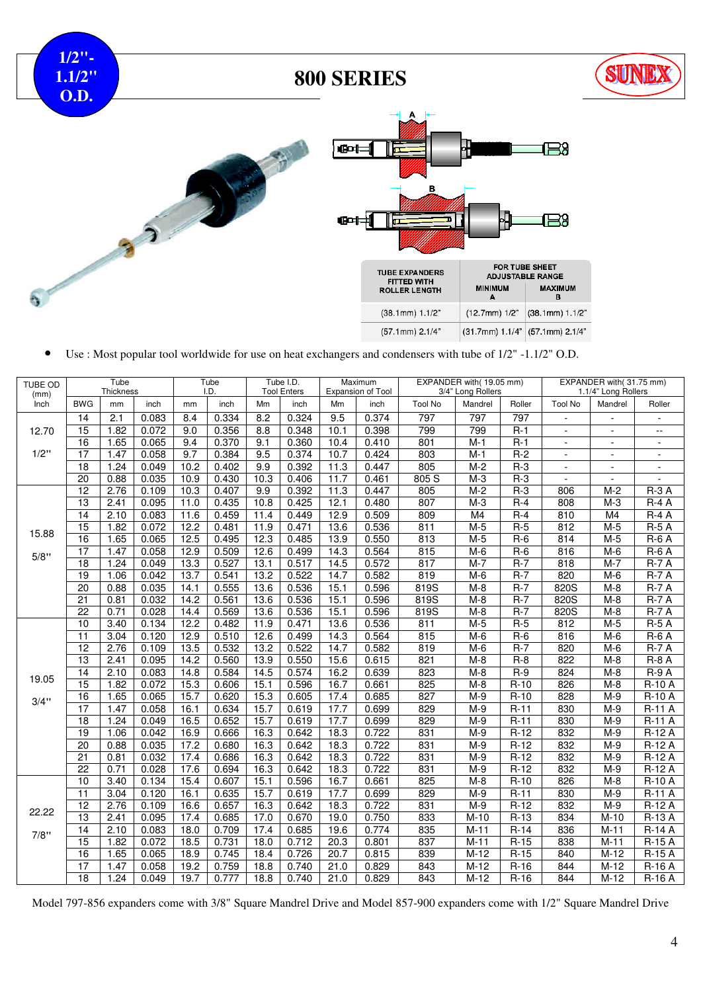**1/2"- 1.1/2" O.D.**

## **800 SERIES**







• Use : Most popular tool worldwide for use on heat exchangers and condensers with tube of 1/2" -1.1/2" O.D.

| <b>TUBE OD</b><br>(mm) |                 | Tube<br><b>Thickness</b> |       |      | Tube<br>I.D. |      | Tube I.D.<br><b>Tool Enters</b> |                   | Maximum<br><b>Expansion of Tool</b> |                   | EXPANDER with(19.05 mm)<br>3/4" Long Rollers |        |                | EXPANDER with(31.75 mm)<br>1.1/4" Long Rollers |                          |
|------------------------|-----------------|--------------------------|-------|------|--------------|------|---------------------------------|-------------------|-------------------------------------|-------------------|----------------------------------------------|--------|----------------|------------------------------------------------|--------------------------|
| Inch                   | <b>BWG</b>      | mm                       | inch  | mm   | inch         | Mm   | inch                            | Mm                | inch                                | <b>Tool No</b>    | Mandrel                                      | Roller | <b>Tool No</b> | Mandrel                                        | Roller                   |
|                        | $\overline{14}$ | 2.1                      | 0.083 | 8.4  | 0.334        | 8.2  | 0.324                           | 9.5               | 0.374                               | 797               | 797                                          | 797    | $\blacksquare$ | $\blacksquare$                                 | $\blacksquare$           |
| 12.70                  | 15              | 1.82                     | 0.072 | 9.0  | 0.356        | 8.8  | 0.348                           | 10.1              | 0.398                               | 799               | 799                                          | $R-1$  | $\blacksquare$ | $\blacksquare$                                 | $-$                      |
|                        | 16              | 1.65                     | 0.065 | 9.4  | 0.370        | 9.1  | 0.360                           | 10.4              | 0.410                               | 801               | $M-1$                                        | $R-1$  | $\blacksquare$ | $\sim$                                         | $\sim$                   |
| 1/2"                   | $\overline{17}$ | 1.47                     | 0.058 | 9.7  | 0.384        | 9.5  | 0.374                           | 10.7              | 0.424                               | 803               | $M-1$                                        | $R-2$  | $\overline{a}$ | $\blacksquare$                                 | $\sim$                   |
|                        | 18              | 1.24                     | 0.049 | 10.2 | 0.402        | 9.9  | 0.392                           | $\overline{1}1.3$ | 0.447                               | 805               | $M-2$                                        | $R-3$  | $\overline{a}$ | $\sim$                                         | $\overline{\phantom{a}}$ |
|                        | 20              | 0.88                     | 0.035 | 10.9 | 0.430        | 10.3 | 0.406                           | 11.7              | 0.461                               | 805S              | $M-3$                                        | $R-3$  |                | $\sim$                                         | L,                       |
|                        | 12              | 2.76                     | 0.109 | 10.3 | 0.407        | 9.9  | 0.392                           | 11.3              | 0.447                               | 805               | $M-2$                                        | $R-3$  | 806            | $M-2$                                          | $R-3A$                   |
|                        | 13              | 2.41                     | 0.095 | 11.0 | 0.435        | 10.8 | 0.425                           | 12.1              | 0.480                               | 807               | $M-3$                                        | $R-4$  | 808            | $M-3$                                          | $R-4A$                   |
|                        | 14              | 2.10                     | 0.083 | 11.6 | 0.459        | 11.4 | 0.449                           | 12.9              | 0.509                               | 809               | M4                                           | $R-4$  | 810            | M <sub>4</sub>                                 | $R-4A$                   |
|                        | $\overline{15}$ | 1.82                     | 0.072 | 12.2 | 0.481        | 11.9 | 0.471                           | 13.6              | 0.536                               | 811               | $M-5$                                        | $R-5$  | 812            | $M-5$                                          | <b>R-5 A</b>             |
| 15.88                  | 16              | 1.65                     | 0.065 | 12.5 | 0.495        | 12.3 | 0.485                           | 13.9              | 0.550                               | 813               | $M-5$                                        | $R-6$  | 814            | $M-5$                                          | $R-6A$                   |
| 5/8"                   | 17              | 1.47                     | 0.058 | 12.9 | 0.509        | 12.6 | 0.499                           | 14.3              | 0.564                               | 815               | $M-6$                                        | $R-6$  | 816            | $M-6$                                          | $R-6A$                   |
|                        | 18              | 1.24                     | 0.049 | 13.3 | 0.527        | 13.1 | 0.517                           | 14.5              | 0.572                               | 817               | $M-7$                                        | $R-7$  | 818            | $M-7$                                          | $R-7A$                   |
|                        | 19              | 1.06                     | 0.042 | 13.7 | 0.541        | 13.2 | 0.522                           | 14.7              | 0.582                               | 819               | $M-6$                                        | $R-7$  | 820            | $M-6$                                          | <b>R-7 A</b>             |
|                        | $\overline{20}$ | 0.88                     | 0.035 | 14.1 | 0.555        | 13.6 | 0.536                           | 15.1              | 0.596                               | 819S              | $M-8$                                        | $R-7$  | 820S           | $M-8$                                          | $R-7A$                   |
|                        | $\overline{21}$ | 0.81                     | 0.032 | 14.2 | 0.561        | 13.6 | 0.536                           | 15.1              | 0.596                               | 819S              | $M-8$                                        | $R-7$  | 820S           | $M-8$                                          | $R-7A$                   |
|                        | $\overline{22}$ | 0.71                     | 0.028 | 14.4 | 0.569        | 13.6 | 0.536                           | 15.1              | 0.596                               | $\overline{819S}$ | $M-8$                                        | $R-7$  | 820S           | $M-8$                                          | $R-7A$                   |
|                        | 10              | 3.40                     | 0.134 | 12.2 | 0.482        | 11.9 | 0.471                           | 13.6              | 0.536                               | 811               | $M-5$                                        | $R-5$  | 812            | $M-5$                                          | <b>R-5 A</b>             |
|                        | $\overline{11}$ | 3.04                     | 0.120 | 12.9 | 0.510        | 12.6 | 0.499                           | 14.3              | 0.564                               | 815               | $M-6$                                        | $R-6$  | 816            | $M-6$                                          | $R-6A$                   |
|                        | $\overline{12}$ | 2.76                     | 0.109 | 13.5 | 0.532        | 13.2 | 0.522                           | 14.7              | 0.582                               | 819               | $M-6$                                        | $R-7$  | 820            | $M-6$                                          | $R-7A$                   |
|                        | $\overline{13}$ | 2.41                     | 0.095 | 14.2 | 0.560        | 13.9 | 0.550                           | 15.6              | 0.615                               | 821               | $M-8$                                        | $R-8$  | 822            | $M-8$                                          | $R-8A$                   |
| 19.05                  | $\overline{14}$ | 2.10                     | 0.083 | 14.8 | 0.584        | 14.5 | 0.574                           | 16.2              | 0.639                               | 823               | $M-8$                                        | $R-9$  | 824            | $M-8$                                          | <b>R-9 A</b>             |
|                        | $\overline{15}$ | 1.82                     | 0.072 | 15.3 | 0.606        | 15.1 | 0.596                           | 16.7              | 0.661                               | 825               | $M-8$                                        | $R-10$ | 826            | $M-8$                                          | <b>R-10 A</b>            |
| 3/4"                   | 16              | 1.65                     | 0.065 | 15.7 | 0.620        | 15.3 | 0.605                           | 17.4              | 0.685                               | 827               | $M-9$                                        | $R-10$ | 828            | $M-9$                                          | <b>R-10 A</b>            |
|                        | $\overline{17}$ | 1.47                     | 0.058 | 16.1 | 0.634        | 15.7 | 0.619                           | 17.7              | 0.699                               | 829               | $M-9$                                        | $R-11$ | 830            | $M-9$                                          | $R-11A$                  |
|                        | 18              | 1.24                     | 0.049 | 16.5 | 0.652        | 15.7 | 0.619                           | 17.7              | 0.699                               | 829               | $M-9$                                        | $R-11$ | 830            | $M-9$                                          | <b>R-11 A</b>            |
|                        | 19              | 1.06                     | 0.042 | 16.9 | 0.666        | 16.3 | 0.642                           | 18.3              | 0.722                               | 831               | $M-9$                                        | $R-12$ | 832            | $M-9$                                          | $R-12A$                  |
|                        | 20              | 0.88                     | 0.035 | 17.2 | 0.680        | 16.3 | 0.642                           | 18.3              | 0.722                               | 831               | $M-9$                                        | $R-12$ | 832            | $M-9$                                          | $R-12A$                  |
|                        | $\overline{21}$ | 0.81                     | 0.032 | 17.4 | 0.686        | 16.3 | 0.642                           | 18.3              | 0.722                               | 831               | $M-9$                                        | $R-12$ | 832            | $M-9$                                          | $R-12A$                  |
|                        | $\overline{22}$ | 0.71                     | 0.028 | 17.6 | 0.694        | 16.3 | 0.642                           | 18.3              | 0.722                               | 831               | $M-9$                                        | $R-12$ | 832            | $M-9$                                          | R-12 A                   |
|                        | 10              | 3.40                     | 0.134 | 15.4 | 0.607        | 15.1 | 0.596                           | 16.7              | 0.661                               | 825               | $M-8$                                        | $R-10$ | 826            | $M-8$                                          | <b>R-10 A</b>            |
|                        | 11              | 3.04                     | 0.120 | 16.1 | 0.635        | 15.7 | 0.619                           | 17.7              | 0.699                               | 829               | $M-9$                                        | $R-11$ | 830            | $M-9$                                          | $R-11A$                  |
| 22.22                  | $\overline{12}$ | 2.76                     | 0.109 | 16.6 | 0.657        | 16.3 | 0.642                           | 18.3              | 0.722                               | 831               | $M-9$                                        | $R-12$ | 832            | $M-9$                                          | $R-12A$                  |
|                        | 13              | 2.41                     | 0.095 | 17.4 | 0.685        | 17.0 | 0.670                           | 19.0              | 0.750                               | 833               | $M-10$                                       | $R-13$ | 834            | $M-10$                                         | R-13 A                   |
| 7/8"                   | 14              | 2.10                     | 0.083 | 18.0 | 0.709        | 17.4 | 0.685                           | 19.6              | 0.774                               | 835               | $M-11$                                       | $R-14$ | 836            | $M-11$                                         | <b>R-14 A</b>            |
|                        | $\overline{15}$ | 1.82                     | 0.072 | 18.5 | 0.731        | 18.0 | 0.712                           | 20.3              | 0.801                               | 837               | $M-11$                                       | $R-15$ | 838            | $M-11$                                         | $R-15A$                  |
|                        | 16              | 1.65                     | 0.065 | 18.9 | 0.745        | 18.4 | 0.726                           | 20.7              | 0.815                               | 839               | $M-12$                                       | $R-15$ | 840            | $M-12$                                         | $R-15A$                  |
|                        | 17              | 1.47                     | 0.058 | 19.2 | 0.759        | 18.8 | 0.740                           | 21.0              | 0.829                               | 843               | $M-12$                                       | $R-16$ | 844            | $M-12$                                         | $R-16A$                  |
|                        | $\overline{18}$ | 1.24                     | 0.049 | 19.7 | 0.777        | 18.8 | 0.740                           | 21.0              | 0.829                               | 843               | $M-12$                                       | $R-16$ | 844            | $M-12$                                         | R-16 A                   |

Model 797-856 expanders come with 3/8" Square Mandrel Drive and Model 857-900 expanders come with 1/2" Square Mandrel Drive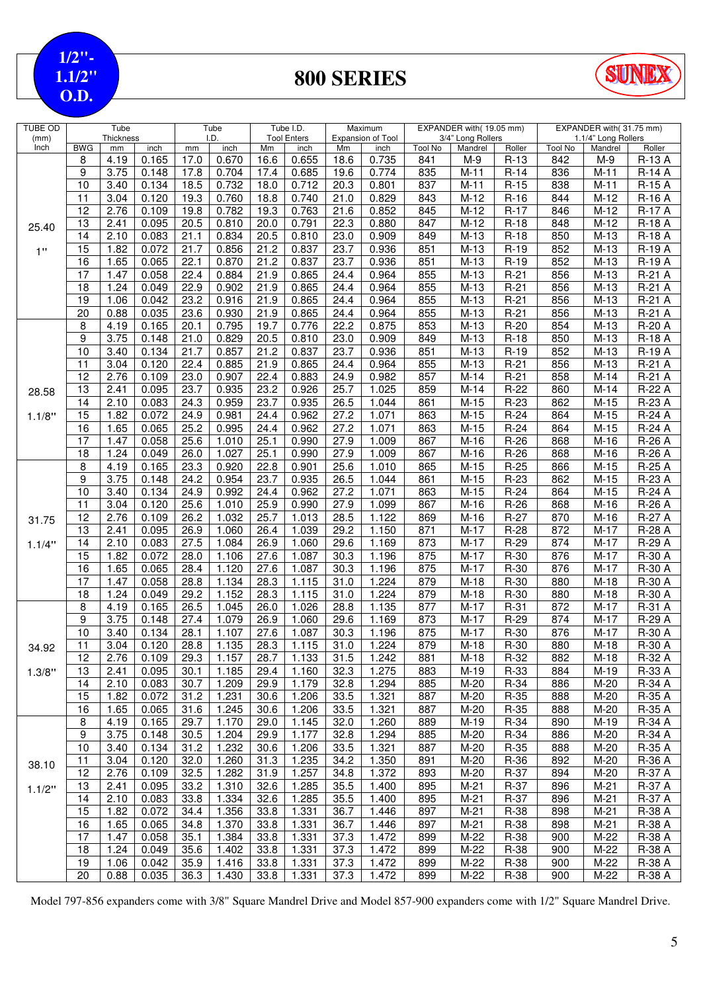**1/2"- 1.1/2" O.D.**

# **800 SERIES**



| <b>TUBE OD</b> |                 | Tube              |                |                   | Tube           |                   | Tube I.D.          |                   | Maximum           |                       | EXPANDER with(19.05 mm) |                  |                       | EXPANDER with(31.75 mm) |                      |
|----------------|-----------------|-------------------|----------------|-------------------|----------------|-------------------|--------------------|-------------------|-------------------|-----------------------|-------------------------|------------------|-----------------------|-------------------------|----------------------|
| (mm)           |                 | <b>Thickness</b>  |                |                   | I.D.           |                   | <b>Tool Enters</b> |                   | Expansion of Tool |                       | 3/4" Long Rollers       |                  |                       | 1.1/4" Long Rollers     |                      |
| Inch           | <b>BWG</b><br>8 | mm<br>4.19        | inch<br>0.165  | mm<br>17.0        | inch<br>0.670  | Mm<br>16.6        | inch<br>0.655      | Mm<br>18.6        | inch<br>0.735     | <b>Tool No</b><br>841 | Mandrel<br>$M-9$        | Roller<br>$R-13$ | <b>Tool No</b><br>842 | Mandrel<br>M-9          | Roller<br>R-13 A     |
|                | 9               | 3.75              | 0.148          | 17.8              | 0.704          | 17.4              | 0.685              | 19.6              | 0.774             | 835                   | $M-11$                  | $R-14$           | 836                   | $M-11$                  | <b>R-14 A</b>        |
|                | 10              | 3.40              | 0.134          | 18.5              | 0.732          | 18.0              | 0.712              | 20.3              | 0.801             | 837                   | $M-11$                  | $R-15$           | 838                   | $M-11$                  | $R-15A$              |
|                | 11              |                   |                | 19.3              | 0.760          |                   | 0.740              | 21.0              | 0.829             |                       | $M-12$                  |                  | 844                   | $M-12$                  | R-16 A               |
|                |                 | 3.04              | 0.120          |                   |                | 18.8              |                    |                   |                   | 843                   |                         | $R-16$           |                       |                         |                      |
|                | 12              | 2.76              | 0.109          | 19.8              | 0.782          | 19.3              | 0.763              | 21.6              | 0.852             | 845                   | $\overline{M}$ -12      | $R-17$           | 846                   | $M-12$                  | <b>R-17 A</b>        |
| 25.40          | 13              | 2.41              | 0.095          | 20.5              | 0.810          | 20.0              | 0.791              | 22.3              | 0.880             | 847                   | $M-12$                  | $R-18$           | 848                   | $M-12$                  | <b>R-18 A</b>        |
|                | 14              | 2.10              | 0.083          | 21.1              | 0.834          | 20.5              | 0.810              | 23.0              | 0.909             | 849                   | $M-13$                  | $R-18$           | 850                   | $M-13$                  | <b>R-18 A</b>        |
| 1"             | 15              | 1.82              | 0.072          | 21.7              | 0.856          | 21.2              | 0.837              | 23.7              | 0.936             | 851                   | $M-13$                  | $R-19$           | 852                   | $M-13$                  | <b>R-19 A</b>        |
|                | 16              | 1.65              | 0.065          | 22.1              | 0.870          | $21.\overline{2}$ | 0.837              | 23.7              | 0.936             | 851                   | $M-13$                  | $R-19$           | 852                   | $M-13$                  | <b>R-19 A</b>        |
|                | $\overline{17}$ | 1.47              | 0.058          | 22.4              | 0.884          | $21.\overline{9}$ | 0.865              | 24.4              | 0.964             | 855                   | $M-13$                  | $R-21$           | 856                   | $M-13$                  | R-21 A               |
|                | 18              | 1.24              | 0.049          | 22.9              | 0.902          | 21.9              | 0.865              | 24.4              | 0.964             | 855                   | $M-13$                  | $R-21$           | 856                   | $M-13$                  | R-21 A               |
|                | 19              | 1.06              | 0.042          | 23.2              | 0.916          | 21.9              | 0.865              | 24.4              | 0.964             | 855                   | $M-13$                  | $R-21$           | 856                   | $M-13$                  | R-21 A               |
|                | $\overline{20}$ | 0.88              | 0.035          | 23.6              | 0.930          | 21.9              | 0.865              | 24.4              | 0.964             | 855                   | $\overline{M}$ -13      | $R-21$           | 856                   | $M-13$                  | R-21 A               |
|                | 8               | 4.19              | 0.165          | 20.1              | 0.795          | 19.7              | 0.776              | 22.2              | 0.875             | 853                   | $M-13$                  | $R-20$           | 854                   | $M-13$                  | R-20 A               |
|                | 9               | 3.75              | 0.148          | 21.0              | 0.829          | 20.5              | 0.810              | 23.0              | 0.909             | 849                   | $\overline{M}$ -13      | $R-18$           | 850                   | $M-13$                  | <b>R-18 A</b>        |
|                | 10              | 3.40              | 0.134          | 21.7              | 0.857          | 21.2              | 0.837              | 23.7              | 0.936             | 851                   | $M-13$                  | $R-19$           | 852                   | $M-13$                  | $\overline{R}$ -19 A |
|                | 11              | 3.04              | 0.120          | 22.4              | 0.885          | 21.9              | 0.865              | 24.4              | 0.964             | 855                   | $\overline{M}$ -13      | $R-21$           | 856                   | $M-13$                  | R-21 A               |
|                | 12              | 2.76              | 0.109          | 23.0              | 0.907          | 22.4              | 0.883              | 24.9              | 0.982             | 857                   | $M-14$                  | $R-21$           | 858                   | $M-14$                  | R-21 A               |
| 28.58          | 13              | 2.41              | 0.095          | 23.7              | 0.935          | 23.2              | 0.926              | 25.7              | 1.025             | 859                   | $M-14$                  | $R-22$           | 860                   | $M-14$                  | R-22 A               |
|                | 14              | 2.10              | 0.083          | $24.\overline{3}$ | 0.959          | 23.7              | 0.935              | 26.5              | 1.044             | 861                   | $M-15$                  | $R-23$           | 862                   | $M-15$                  | R-23 A               |
| 1.1/8"         | 15              | 1.82              | 0.072          | 24.9              | 0.981          | 24.4              | 0.962              | 27.2              | 1.071             | 863                   | $\overline{M}$ -15      | $R-24$           | 864                   | $M-15$                  | R-24 A               |
|                | 16              | 1.65              | 0.065          | 25.2              | 0.995          | 24.4              | 0.962              | 27.2              | 1.071             | 863                   | $M-15$                  | $R-24$           | 864                   | $M-15$                  | R-24 A               |
|                | 17              | 1.47              | 0.058          | 25.6              | 1.010          | 25.1              | 0.990              | 27.9              | 1.009             | 867                   | $M-16$                  | $R-26$           | 868                   | $M-16$                  | R-26 A               |
|                | 18              | 1.24              | 0.049          | 26.0              | 1.027          | 25.1              | 0.990              | 27.9              | 1.009             | 867                   | $M-16$                  | $R-26$           | 868                   | $M-16$                  | R-26 A               |
|                | 8               | 4.19              | 0.165          | 23.3              | 0.920          | 22.8              | 0.901              | $25.\overline{6}$ | 1.010             | 865                   | $M-15$                  | $R-25$           | 866                   | $M-15$                  | R-25 A               |
|                | 9               | 3.75              | 0.148          | 24.2              | 0.954          | 23.7              | 0.935              | 26.5              | 1.044             | 861                   | $\overline{M}$ -15      | $R-23$           | 862                   | $M-15$                  | R-23 A               |
|                | 10              | 3.40              | 0.134          | 24.9              | 0.992          | 24.4              | 0.962              | 27.2              | 1.071             | 863                   | $M-15$                  | $R-24$           | 864                   | $M-15$                  | R-24 A               |
|                | 11              | 3.04              | 0.120          | 25.6              | 1.010          | 25.9              | 0.990              | 27.9              | 1.099             | 867                   | $M-16$                  | $R-26$           | 868                   | M-16                    | R-26 A               |
| 31.75          | 12              | 2.76              | 0.109          | 26.2              | 1.032          | 25.7              | 1.013              | 28.5              | 1.122             | 869                   | $M-16$                  | $R-27$           | 870                   | $M-16$                  | R-27 A               |
|                | 13              | 2.41              | 0.095          | 26.9              | 1.060          | 26.4              | 1.039              | 29.2              | 1.150             | 871                   | $M-17$                  | $R-28$           | 872                   | $M-17$                  | R-28 A               |
| 1.1/4"         | 14              | 2.10              | 0.083          | 27.5              | 1.084          | 26.9              | 1.060              | 29.6              | 1.169             | 873                   | $M-17$                  | $R-29$           | 874                   | $M-17$                  | R-29 A               |
|                | 15              | 1.82              | 0.072          | 28.0              | 1.106          | 27.6              | 1.087              | 30.3              | 1.196             | 875                   | $M-17$                  | $R-30$           | 876                   | $M-17$                  | R-30 A               |
|                | 16              | 1.65              | 0.065          | 28.4              | 1.120          | 27.6              | 1.087              | 30.3              | 1.196             | 875                   | $M-17$                  | $R-30$           | 876                   | $M-17$                  | R-30 A               |
|                | 17              | 1.47              | 0.058          | 28.8              | 1.134          | 28.3              | 1.115              | 31.0              | 1.224             | 879                   | $\overline{M}$ -18      | $R-30$           | 880                   | $M-18$                  | R-30 A               |
|                | 18              | 1.24              | 0.049          | 29.2              | 1.152          | 28.3              | 1.115              | 31.0              | 1.224             | 879                   | $M-18$                  | $R-30$           | 880                   | $M-18$                  | R-30 A               |
|                | 8               | 4.19              | 0.165          | 26.5              | 1.045          | 26.0              | 1.026              | 28.8              | 1.135             | 877                   | $M-17$                  | $R-31$           | 872                   | $M-17$                  | R-31 A               |
|                | 9               | $3.\overline{75}$ | 0.148          | 27.4              | 1.079          | 26.9              | 1.060              | 29.6              | 1.169             | 873                   | $M-17$                  | $R-29$           | 874                   | $M-17$                  | R-29 A               |
|                | 10              | 3.40              | 0.134          | 28.1              | 1.107          | 27.6              | 1.087              | 30.3              | 1.196             | 875                   | $M-17$                  | $R-30$           | 876                   | $M-17$                  | R-30 A               |
|                |                 | 3.04              | 0.120          | 28.8              | 1.135          | 28.3              | 1.115              | 31.0              | 1.224             | 879                   | $M-18$                  | $R-30$           | 880                   | $M-18$                  | $R-30A$              |
| 34.92          | 11<br>12        | 2.76              | 0.109          | 29.3              | 1.157          | 28.7              | 1.133              | 31.5              | 1.242             | 881                   | M-18                    | $R-32$           | 882                   | $M-18$                  | R-32 A               |
| 1.3/8"         | 13              | 2.41              | 0.095          | 30.1              | 1.185          | 29.4              | 1.160              | 32.3              | 1.275             | 883                   | $M-19$                  | $R-33$           | 884                   | M-19                    | R-33 A               |
|                | 14              | 2.10              | 0.083          | 30.7              | 1.209          | 29.9              | 1.179              | 32.8              | 1.294             | 885                   | $M-20$                  | $R-34$           | 886                   | M-20                    | R-34 A               |
|                | 15              | 1.82              | 0.072          | 31.2              | 1.231          | 30.6              | 1.206              | 33.5              | 1.321             | 887                   | $M-20$                  | $R-35$           | 888                   | M-20                    | R-35 A               |
|                |                 | 1.65              |                |                   |                |                   |                    |                   |                   |                       |                         |                  |                       |                         |                      |
|                | 16<br>8         | 4.19              | 0.065<br>0.165 | 31.6<br>29.7      | 1.245<br>1.170 | 30.6<br>29.0      | 1.206<br>1.145     | 33.5<br>32.0      | 1.321<br>1.260    | 887<br>889            | $M-20$<br>$M-19$        | $R-35$<br>$R-34$ | 888<br>890            | $M-20$<br>M-19          | R-35 A<br>R-34 A     |
|                | 9               | 3.75              | 0.148          | 30.5              | 1.204          | 29.9              | 1.177              | 32.8              | 1.294             | 885                   | $M-20$                  | $R-34$           | 886                   | $M-20$                  | R-34 A               |
|                |                 |                   |                |                   |                |                   |                    |                   | 1.321             |                       |                         |                  |                       |                         |                      |
|                | 10              | 3.40              | 0.134          | 31.2              | 1.232          | 30.6              | 1.206              | 33.5              |                   | 887                   | $M-20$                  | $R-35$           | 888                   | $M-20$                  | R-35 A               |
| 38.10          | 11              | 3.04              | 0.120          | 32.0              | 1.260          | 31.3              | 1.235              | 34.2              | 1.350             | 891                   | $M-20$                  | $R-36$           | 892                   | M-20                    | R-36 A               |
|                | 12              | 2.76              | 0.109          | 32.5              | 1.282          | 31.9              | 1.257              | 34.8              | 1.372             | 893                   | $M-20$                  | $R-37$           | 894                   | $M-20$                  | R-37 A               |
| 1.1/2"         | 13              | 2.41              | 0.095          | 33.2              | 1.310          | 32.6              | 1.285              | 35.5              | 1.400             | 895                   | $M-21$                  | $R-37$           | 896                   | $M-21$                  | <b>R-37 A</b>        |
|                | 14              | 2.10              | 0.083          | 33.8              | 1.334          | 32.6              | 1.285              | 35.5              | 1.400             | 895                   | $M-21$                  | $R-37$           | 896                   | $M-21$                  | R-37 A               |
|                | 15              | 1.82              | 0.072          | 34.4              | 1.356          | 33.8              | 1.331              | 36.7              | 1.446             | 897                   | $M-21$                  | R-38             | 898                   | $M-21$                  | R-38 A               |
|                | 16              | 1.65              | 0.065          | 34.8              | 1.370          | 33.8              | 1.331              | 36.7              | 1.446             | 897                   | $M-21$                  | R-38             | 898                   | M-21                    | R-38 A               |
|                | 17              | 1.47              | 0.058          | 35.1              | 1.384          | 33.8              | 1.331              | 37.3              | 1.472             | 899                   | M-22                    | R-38             | 900                   | $M-22$                  | R-38 A               |
|                | 18              | 1.24              | 0.049          | 35.6              | 1.402          | 33.8              | 1.331              | 37.3              | 1.472             | 899                   | $M-22$                  | R-38             | 900                   | $M-22$                  | R-38 A               |
|                | 19              | 1.06              | 0.042          | 35.9              | 1.416          | 33.8              | 1.331              | 37.3              | 1.472             | 899                   | $M-22$                  | R-38             | 900                   | $M-22$                  | R-38 A               |
|                | 20              | 0.88              | 0.035          | 36.3              | 1.430          | 33.8              | 1.331              | 37.3              | 1.472             | 899                   | $M-22$                  | R-38             | 900                   | $M-22$                  | R-38 A               |

Model 797-856 expanders come with 3/8" Square Mandrel Drive and Model 857-900 expanders come with 1/2" Square Mandrel Drive.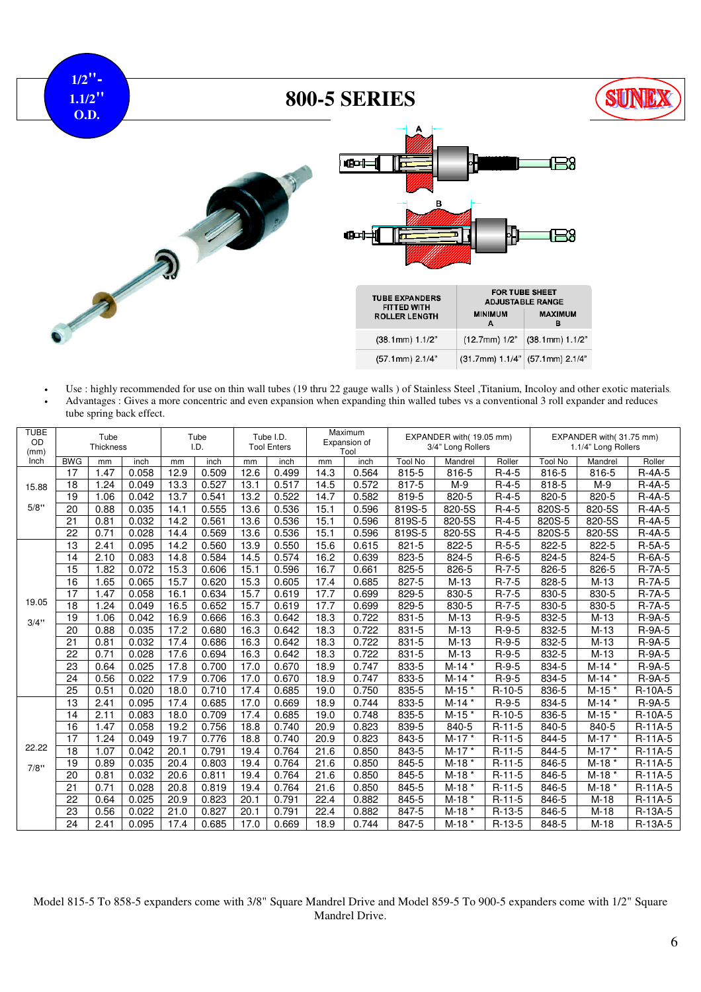

• Use : highly recommended for use on thin wall tubes (19 thru 22 gauge walls ) of Stainless Steel ,Titanium, Incoloy and other exotic materials. • Advantages : Gives a more concentric and even expansion when expanding thin walled tubes vs a conventional 3 roll expander and reduces tube spring back effect.

| <b>TUBE</b><br><b>OD</b><br>(mm) |            | Tube<br>Thickness |       |                   | Tube<br>I.D. | Tube I.D.<br><b>Tool Enters</b> |       |      | Maximum<br>Expansion of<br>Tool |                | EXPANDER with(19.05 mm)<br>3/4" Long Rollers |             |                | EXPANDER with(31.75 mm)<br>1.1/4" Long Rollers |           |
|----------------------------------|------------|-------------------|-------|-------------------|--------------|---------------------------------|-------|------|---------------------------------|----------------|----------------------------------------------|-------------|----------------|------------------------------------------------|-----------|
| Inch                             | <b>BWG</b> | mm                | inch  | mm                | inch         | mm                              | inch  | mm   | inch                            | <b>Tool No</b> | Mandrel                                      | Roller      | <b>Tool No</b> | Mandrel                                        | Roller    |
|                                  | 17         | 1.47              | 0.058 | 12.9              | 0.509        | 12.6                            | 0.499 | 14.3 | 0.564                           | 815-5          | 816-5                                        | $R-4-5$     | 816-5          | 816-5                                          | $R-4A-5$  |
| 15.88                            | 18         | 1.24              | 0.049 | 13.3              | 0.527        | 13.1                            | 0.517 | 14.5 | 0.572                           | 817-5          | $M-9$                                        | $R-4-5$     | 818-5          | $M-9$                                          | $R-4A-5$  |
|                                  | 19         | 1.06              | 0.042 | 13.7              | 0.541        | 13.2                            | 0.522 | 14.7 | 0.582                           | 819-5          | 820-5                                        | $R-4-5$     | 820-5          | 820-5                                          | $R-4A-5$  |
| 5/8"                             | 20         | 0.88              | 0.035 | 14.1              | 0.555        | 13.6                            | 0.536 | 15.1 | 0.596                           | 819S-5         | 820-5S                                       | $R-4-5$     | 820S-5         | 820-5S                                         | $R-4A-5$  |
|                                  | 21         | 0.81              | 0.032 | 14.2              | 0.561        | 13.6                            | 0.536 | 15.1 | 0.596                           | 819S-5         | 820-5S                                       | $R-4-5$     | 820S-5         | 820-5S                                         | $R-4A-5$  |
|                                  | 22         | 0.71              | 0.028 | 14.4              | 0.569        | 13.6                            | 0.536 | 15.1 | 0.596                           | 819S-5         | 820-5S                                       | $R-4-5$     | 820S-5         | 820-5S                                         | $R-4A-5$  |
|                                  | 13         | 2.41              | 0.095 | 14.2              | 0.560        | 13.9                            | 0.550 | 15.6 | 0.615                           | $821 - 5$      | 822-5                                        | $R-5-5$     | 822-5          | 822-5                                          | $R-5A-5$  |
|                                  | 14         | 2.10              | 0.083 | 14.8              | 0.584        | 14.5                            | 0.574 | 16.2 | 0.639                           | 823-5          | 824-5                                        | $R-6-5$     | 824-5          | 824-5                                          | R-6A-5    |
|                                  | 15         | 1.82              | 0.072 | 15.3              | 0.606        | 15.1                            | 0.596 | 16.7 | 0.661                           | 825-5          | 826-5                                        | $R-7-5$     | 826-5          | 826-5                                          | $R-7A-5$  |
|                                  | 16         | 1.65              | 0.065 | 15.7              | 0.620        | 15.3                            | 0.605 | 17.4 | 0.685                           | 827-5          | $M-13$                                       | $R-7-5$     | 828-5          | $M-13$                                         | $R-7A-5$  |
|                                  | 17         | 1.47              | 0.058 | 16.1              | 0.634        | 15.7                            | 0.619 | 17.7 | 0.699                           | 829-5          | 830-5                                        | $R-7-5$     | 830-5          | 830-5                                          | $R-7A-5$  |
| 19.05                            | 18         | 1.24              | 0.049 | 16.5              | 0.652        | 15.7                            | 0.619 | 17.7 | 0.699                           | 829-5          | 830-5                                        | $R - 7 - 5$ | 830-5          | 830-5                                          | $R-7A-5$  |
| 3/4"                             | 19         | 1.06              | 0.042 | 16.9              | 0.666        | 16.3                            | 0.642 | 18.3 | 0.722                           | 831-5          | $M-13$                                       | $R-9-5$     | 832-5          | $M-13$                                         | R-9A-5    |
|                                  | 20         | 0.88              | 0.035 | $\overline{17.2}$ | 0.680        | 16.3                            | 0.642 | 18.3 | 0.722                           | 831-5          | $M-13$                                       | $R-9-5$     | 832-5          | $M-13$                                         | R-9A-5    |
|                                  | 21         | 0.81              | 0.032 | 17.4              | 0.686        | 16.3                            | 0.642 | 18.3 | 0.722                           | 831-5          | $M-13$                                       | $R-9-5$     | 832-5          | $M-13$                                         | R-9A-5    |
|                                  | 22         | 0.71              | 0.028 | 17.6              | 0.694        | 16.3                            | 0.642 | 18.3 | 0.722                           | 831-5          | $M-13$                                       | $R-9-5$     | 832-5          | $M-13$                                         | R-9A-5    |
|                                  | 23         | 0.64              | 0.025 | 17.8              | 0.700        | 17.0                            | 0.670 | 18.9 | 0.747                           | 833-5          | $M-14*$                                      | $R-9-5$     | 834-5          | $M-14*$                                        | R-9A-5    |
|                                  | 24         | 0.56              | 0.022 | 17.9              | 0.706        | 17.0                            | 0.670 | 18.9 | 0.747                           | 833-5          | $M-14*$                                      | $R-9-5$     | 834-5          | $M-14*$                                        | R-9A-5    |
|                                  | 25         | 0.51              | 0.020 | 18.0              | 0.710        | 17.4                            | 0.685 | 19.0 | 0.750                           | 835-5          | $M-15*$                                      | $R-10-5$    | 836-5          | $M-15*$                                        | R-10A-5   |
|                                  | 13         | 2.41              | 0.095 | 17.4              | 0.685        | 17.0                            | 0.669 | 18.9 | 0.744                           | 833-5          | $M-14*$                                      | $R-9-5$     | 834-5          | $M-14*$                                        | R-9A-5    |
|                                  | 14         | 2.11              | 0.083 | 18.0              | 0.709        | 17.4                            | 0.685 | 19.0 | 0.748                           | 835-5          | $M-15*$                                      | $R-10-5$    | 836-5          | $M-15*$                                        | R-10A-5   |
|                                  | 16         | 1.47              | 0.058 | 19.2              | 0.756        | 18.8                            | 0.740 | 20.9 | 0.823                           | 839-5          | 840-5                                        | $R-11-5$    | 840-5          | 840-5                                          | $R-11A-5$ |
|                                  | 17         | 1.24              | 0.049 | 19.7              | 0.776        | 18.8                            | 0.740 | 20.9 | 0.823                           | 843-5          | $M-17*$                                      | $R-11-5$    | 844-5          | $M-17*$                                        | R-11A-5   |
| 22.22                            | 18         | 1.07              | 0.042 | 20.1              | 0.791        | 19.4                            | 0.764 | 21.6 | 0.850                           | 843-5          | $M-17*$                                      | $R-11-5$    | 844-5          | $M-17*$                                        | R-11A-5   |
| 7/8"                             | 19         | 0.89              | 0.035 | 20.4              | 0.803        | 19.4                            | 0.764 | 21.6 | 0.850                           | 845-5          | $M-18*$                                      | $R-11-5$    | 846-5          | $M-18$ *                                       | $R-11A-5$ |
|                                  | 20         | 0.81              | 0.032 | 20.6              | 0.811        | 19.4                            | 0.764 | 21.6 | 0.850                           | 845-5          | $M-18*$                                      | $R-11-5$    | 846-5          | $M-18$ *                                       | R-11A-5   |
|                                  | 21         | 0.71              | 0.028 | 20.8              | 0.819        | 19.4                            | 0.764 | 21.6 | 0.850                           | 845-5          | $M-18*$                                      | $R-11-5$    | 846-5          | $M-18*$                                        | $R-11A-5$ |
|                                  | 22         | 0.64              | 0.025 | 20.9              | 0.823        | 20.1                            | 0.791 | 22.4 | 0.882                           | 845-5          | $M-18*$                                      | $R-11-5$    | 846-5          | $M-18$                                         | $R-11A-5$ |
|                                  | 23         | 0.56              | 0.022 | 21.0              | 0.827        | 20.1                            | 0.791 | 22.4 | 0.882                           | 847-5          | $M-18*$                                      | $R-13-5$    | 846-5          | $M-18$                                         | R-13A-5   |
|                                  | 24         | 2.41              | 0.095 | 17.4              | 0.685        | 17.0                            | 0.669 | 18.9 | 0.744                           | 847-5          | $M-18$ *                                     | $R-13-5$    | 848-5          | $M-18$                                         | R-13A-5   |

Model 815-5 To 858-5 expanders come with 3/8" Square Mandrel Drive and Model 859-5 To 900-5 expanders come with 1/2" Square Mandrel Drive.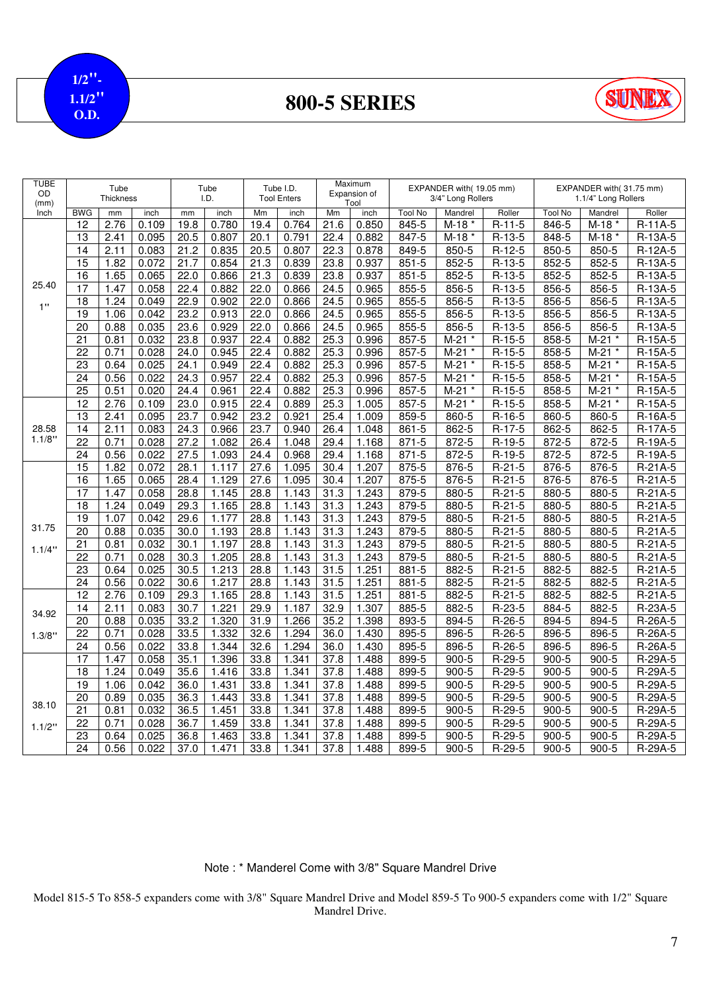**1/2"- 1.1/2" O.D.**

**800-5 SERIES**



| TUBE<br>OD<br>(mm) |                 | Tube<br><b>Thickness</b> |       |                   | Tube<br>I.D. |                   | Tube I.D.<br><b>Tool Enters</b> |      | Maximum<br>Expansion of<br>Tool |                | EXPANDER with(19.05 mm)<br>3/4" Long Rollers |          |                | EXPANDER with(31.75 mm)<br>1.1/4" Long Rollers |           |
|--------------------|-----------------|--------------------------|-------|-------------------|--------------|-------------------|---------------------------------|------|---------------------------------|----------------|----------------------------------------------|----------|----------------|------------------------------------------------|-----------|
| Inch               | <b>BWG</b>      | mm                       | inch  | mm                | inch         | Mm                | inch                            | Mm   | inch                            | <b>Tool No</b> | Mandrel                                      | Roller   | <b>Tool No</b> | Mandrel                                        | Roller    |
|                    | 12              | 2.76                     | 0.109 | 19.8              | 0.780        | 19.4              | 0.764                           | 21.6 | 0.850                           | 845-5          | M-18                                         | $R-11-5$ | 846-5          | $M-18*$                                        | R-11A-5   |
|                    | 13              | 2.41                     | 0.095 | 20.5              | 0.807        | 20.1              | 0.791                           | 22.4 | 0.882                           | $847 - 5$      | $M-18$ *                                     | $R-13-5$ | 848-5          | $M-18*$                                        | $R-13A-5$ |
|                    | 14              | 2.11                     | 0.083 | 21.2              | 0.835        | 20.5              | 0.807                           | 22.3 | 0.878                           | 849-5          | 850-5                                        | $R-12-5$ | 850-5          | 850-5                                          | R-12A-5   |
|                    | $\overline{15}$ | 1.82                     | 0.072 | $21.\overline{7}$ | 0.854        | 21.3              | 0.839                           | 23.8 | 0.937                           | $851 - 5$      | $852 - 5$                                    | $R-13-5$ | $852 - 5$      | $852 - 5$                                      | R-13A-5   |
|                    | 16              | 1.65                     | 0.065 | 22.0              | 0.866        | $21.\overline{3}$ | 0.839                           | 23.8 | 0.937                           | $851 - 5$      | 852-5                                        | $R-13-5$ | 852-5          | 852-5                                          | R-13A-5   |
| 25.40              | 17              | 1.47                     | 0.058 | 22.4              | 0.882        | 22.0              | 0.866                           | 24.5 | 0.965                           | 855-5          | 856-5                                        | $R-13-5$ | 856-5          | 856-5                                          | R-13A-5   |
|                    | 18              | 1.24                     | 0.049 | 22.9              | 0.902        | 22.0              | 0.866                           | 24.5 | 0.965                           | 855-5          | 856-5                                        | $R-13-5$ | 856-5          | 856-5                                          | R-13A-5   |
| 1"                 | 19              | 1.06                     | 0.042 | 23.2              | 0.913        | 22.0              | 0.866                           | 24.5 | 0.965                           | 855-5          | 856-5                                        | $R-13-5$ | 856-5          | 856-5                                          | R-13A-5   |
|                    | 20              | 0.88                     | 0.035 | 23.6              | 0.929        | 22.0              | 0.866                           | 24.5 | 0.965                           | 855-5          | 856-5                                        | $R-13-5$ | 856-5          | 856-5                                          | R-13A-5   |
|                    | $\overline{21}$ | 0.81                     | 0.032 | 23.8              | 0.937        | 22.4              | 0.882                           | 25.3 | 0.996                           | 857-5          | $M-21$<br>$\star$                            | $R-15-5$ | 858-5          | $M-21$<br>$\star$                              | R-15A-5   |
|                    | $\overline{22}$ | 0.71                     | 0.028 | 24.0              | 0.945        | 22.4              | 0.882                           | 25.3 | 0.996                           | $857 - 5$      | $M-21$<br>$^\star$                           | $R-15-5$ | 858-5          | $M-21$                                         | R-15A-5   |
|                    | $\overline{23}$ | 0.64                     | 0.025 | 24.1              | 0.949        | 22.4              | 0.882                           | 25.3 | 0.996                           | 857-5          | $M-21$                                       | $R-15-5$ | 858-5          | $M-21$                                         | R-15A-5   |
|                    | $\overline{24}$ | 0.56                     | 0.022 | 24.3              | 0.957        | 22.4              | 0.882                           | 25.3 | 0.996                           | 857-5          | $M-21$<br>$\star$                            | $R-15-5$ | 858-5          | $M-21$<br>$\star$                              | R-15A-5   |
|                    | $\overline{25}$ | 0.51                     | 0.020 | 24.4              | 0.961        | 22.4              | 0.882                           | 25.3 | 0.996                           | 857-5          | $M-21$                                       | $R-15-5$ | 858-5          | $M-21$                                         | R-15A-5   |
|                    | 12              | 2.76                     | 0.109 | 23.0              | 0.915        | 22.4              | 0.889                           | 25.3 | 1.005                           | 857-5          | $M-21$<br>$\ast$                             | $R-15-5$ | 858-5          | $M-21$ *                                       | R-15A-5   |
|                    | 13              | 2.41                     | 0.095 | 23.7              | 0.942        | 23.2              | 0.921                           | 25.4 | 1.009                           | 859-5          | 860-5                                        | $R-16-5$ | 860-5          | 860-5                                          | R-16A-5   |
| 28.58              | 14              | 2.11                     | 0.083 | 24.3              | 0.966        | 23.7              | 0.940                           | 26.4 | 1.048                           | 861-5          | 862-5                                        | $R-17-5$ | 862-5          | 862-5                                          | R-17A-5   |
| 1.1/8"             | $\overline{22}$ | 0.71                     | 0.028 | 27.2              | 1.082        | 26.4              | 1.048                           | 29.4 | 1.168                           | $871 - 5$      | $872 - 5$                                    | $R-19-5$ | $872 - 5$      | $872 - 5$                                      | R-19A-5   |
|                    | 24              | 0.56                     | 0.022 | 27.5              | 1.093        | 24.4              | 0.968                           | 29.4 | 1.168                           | $871 - 5$      | 872-5                                        | $R-19-5$ | 872-5          | 872-5                                          | R-19A-5   |
|                    | $\overline{15}$ | 1.82                     | 0.072 | 28.1              | 1.117        | 27.6              | 1.095                           | 30.4 | 1.207                           | 875-5          | 876-5                                        | $R-21-5$ | 876-5          | 876-5                                          | R-21A-5   |
|                    | $\overline{16}$ | 1.65                     | 0.065 | 28.4              | 1.129        | 27.6              | 1.095                           | 30.4 | 1.207                           | 875-5          | 876-5                                        | $R-21-5$ | 876-5          | 876-5                                          | R-21A-5   |
|                    | 17              | 1.47                     | 0.058 | 28.8              | 1.145        | 28.8              | 1.143                           | 31.3 | 1.243                           | 879-5          | 880-5                                        | $R-21-5$ | 880-5          | 880-5                                          | $R-21A-5$ |
|                    | 18              | 1.24                     | 0.049 | 29.3              | 1.165        | 28.8              | 1.143                           | 31.3 | 1.243                           | 879-5          | 880-5                                        | $R-21-5$ | 880-5          | 880-5                                          | R-21A-5   |
|                    | 19              | 1.07                     | 0.042 | 29.6              | 1.177        | 28.8              | 1.143                           | 31.3 | 1.243                           | 879-5          | 880-5                                        | $R-21-5$ | 880-5          | 880-5                                          | R-21A-5   |
| 31.75              | $\overline{20}$ | 0.88                     | 0.035 | 30.0              | 1.193        | 28.8              | 1.143                           | 31.3 | 1.243                           | 879-5          | 880-5                                        | $R-21-5$ | 880-5          | 880-5                                          | R-21A-5   |
| 1.1/4"             | 21              | 0.81                     | 0.032 | 30.1              | 1.197        | 28.8              | 1.143                           | 31.3 | 1.243                           | 879-5          | 880-5                                        | $R-21-5$ | $880 - 5$      | 880-5                                          | R-21A-5   |
|                    | $\overline{22}$ | 0.71                     | 0.028 | 30.3              | 1.205        | 28.8              | 1.143                           | 31.3 | 1.243                           | 879-5          | 880-5                                        | $R-21-5$ | 880-5          | 880-5                                          | R-21A-5   |
|                    | $\overline{23}$ | 0.64                     | 0.025 | 30.5              | 1.213        | 28.8              | 1.143                           | 31.5 | 1.251                           | 881-5          | 882-5                                        | $R-21-5$ | 882-5          | $882 - 5$                                      | R-21A-5   |
|                    | 24              | 0.56                     | 0.022 | 30.6              | 1.217        | 28.8              | 1.143                           | 31.5 | 1.251                           | 881-5          | 882-5                                        | $R-21-5$ | 882-5          | 882-5                                          | R-21A-5   |
|                    | 12              | 2.76                     | 0.109 | 29.3              | 1.165        | 28.8              | 1.143                           | 31.5 | 1.251                           | 881-5          | 882-5                                        | $R-21-5$ | 882-5          | 882-5                                          | R-21A-5   |
| 34.92              | 14              | 2.11                     | 0.083 | 30.7              | 1.221        | 29.9              | 1.187                           | 32.9 | 1.307                           | 885-5          | 882-5                                        | R-23-5   | 884-5          | 882-5                                          | R-23A-5   |
|                    | $\overline{20}$ | 0.88                     | 0.035 | 33.2              | 1.320        | 31.9              | 1.266                           | 35.2 | 1.398                           | 893-5          | 894-5                                        | R-26-5   | 894-5          | 894-5                                          | R-26A-5   |
| 1.3/8"             | $\overline{22}$ | 0.71                     | 0.028 | 33.5              | 1.332        | 32.6              | 1.294                           | 36.0 | 1.430                           | 895-5          | 896-5                                        | R-26-5   | 896-5          | 896-5                                          | R-26A-5   |
|                    | 24              | 0.56                     | 0.022 | 33.8              | 1.344        | 32.6              | 1.294                           | 36.0 | 1.430                           | 895-5          | 896-5                                        | $R-26-5$ | 896-5          | 896-5                                          | R-26A-5   |
|                    | $\overline{17}$ | 1.47                     | 0.058 | 35.1              | 1.396        | 33.8              | 1.341                           | 37.8 | 1.488                           | 899-5          | $900 - 5$                                    | $R-29-5$ | $900 - 5$      | $900 - 5$                                      | R-29A-5   |
|                    | 18              | 1.24                     | 0.049 | 35.6              | 1.416        | 33.8              | 1.341                           | 37.8 | 1.488                           | 899-5          | $900 - 5$                                    | $R-29-5$ | $900 - 5$      | $900 - 5$                                      | R-29A-5   |
|                    | 19              | 1.06                     | 0.042 | 36.0              | 1.431        | 33.8              | 1.341                           | 37.8 | 1.488                           | 899-5          | $900 - 5$                                    | $R-29-5$ | $900 - 5$      | $900 - 5$                                      | R-29A-5   |
| 38.10              | 20              | 0.89                     | 0.035 | 36.3              | 1.443        | 33.8              | 1.341                           | 37.8 | 1.488                           | 899-5          | $900 - 5$                                    | R-29-5   | $900 - 5$      | $900 - 5$                                      | R-29A-5   |
|                    | $\overline{21}$ | 0.81                     | 0.032 | 36.5              | 1.451        | 33.8              | 1.341                           | 37.8 | 1.488                           | 899-5          | $900 - 5$                                    | $R-29-5$ | $900 - 5$      | $900 - 5$                                      | R-29A-5   |
| 1.1/2"             | 22              | 0.71                     | 0.028 | 36.7              | 1.459        | 33.8              | 1.341                           | 37.8 | 1.488                           | 899-5          | $900 - 5$                                    | $R-29-5$ | $900 - 5$      | $900 - 5$                                      | R-29A-5   |
|                    | 23              | 0.64                     | 0.025 | 36.8              | 1.463        | 33.8              | 1.341                           | 37.8 | 1.488                           | 899-5          | $900 - 5$                                    | R-29-5   | $900 - 5$      | $900 - 5$                                      | R-29A-5   |
|                    | $\overline{24}$ | 0.56                     | 0.022 | 37.0              | 1.471        | 33.8              | 1.341                           | 37.8 | 1.488                           | 899-5          | $900 - 5$                                    | R-29-5   | $900 - 5$      | $\frac{1}{900-5}$                              | $R-29A-5$ |

#### Note : \* Manderel Come with 3/8" Square Mandrel Drive

Model 815-5 To 858-5 expanders come with 3/8" Square Mandrel Drive and Model 859-5 To 900-5 expanders come with 1/2" Square Mandrel Drive.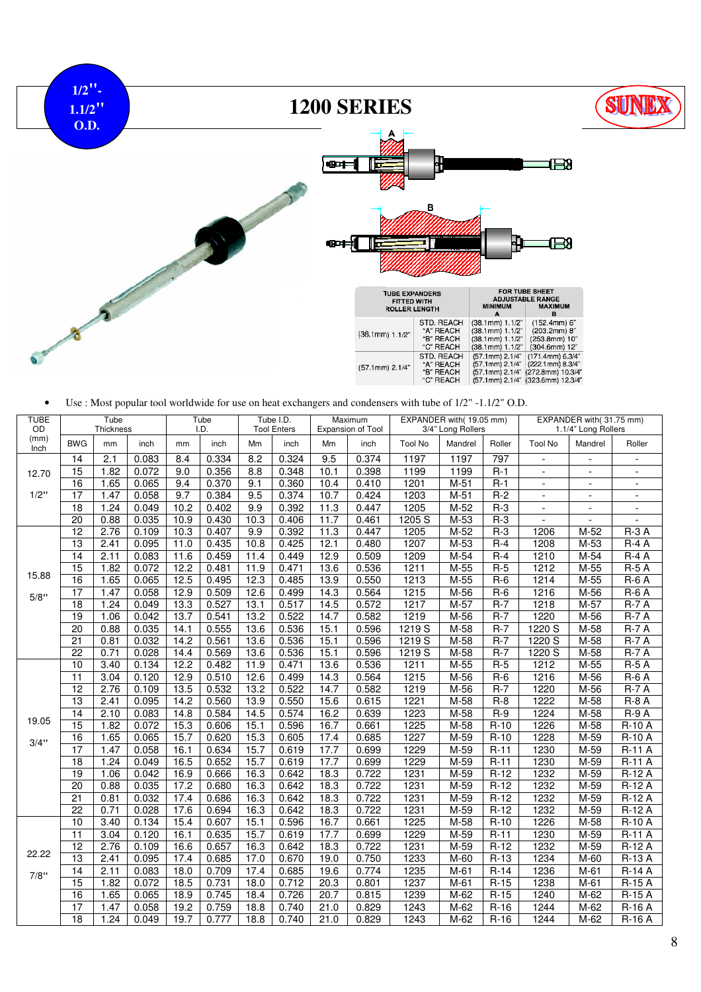

• Use : Most popular tool worldwide for use on heat exchangers and condensers with tube of 1/2" -1.1/2" O.D.

| <b>TUBE</b><br>OD |                 | Tube             |       |      | Tube<br>I.D. |      | Tube I.D.          |      | Maximum           |                | EXPANDER with(19.05 mm) |        |                  | EXPANDER with(31.75 mm) |                          |
|-------------------|-----------------|------------------|-------|------|--------------|------|--------------------|------|-------------------|----------------|-------------------------|--------|------------------|-------------------------|--------------------------|
| (mm)              |                 | <b>Thickness</b> |       |      |              |      | <b>Tool Enters</b> |      | Expansion of Tool |                | 3/4" Long Rollers       |        |                  | 1.1/4" Long Rollers     |                          |
| Inch              | <b>BWG</b>      | mm               | inch  | mm   | inch         | Mm   | inch               | Mm   | inch              | <b>Tool No</b> | Mandrel                 | Roller | <b>Tool No</b>   | Mandrel                 | Roller                   |
|                   | $\overline{14}$ | 2.1              | 0.083 | 8.4  | 0.334        | 8.2  | 0.324              | 9.5  | 0.374             | 1197           | 1197                    | 797    | $\overline{a}$   | $\blacksquare$          | ÷,                       |
| 12.70             | 15              | 1.82             | 0.072 | 9.0  | 0.356        | 8.8  | 0.348              | 10.1 | 0.398             | 1199           | 1199                    | $R-1$  | ÷.               | $\sim$                  |                          |
|                   | 16              | 1.65             | 0.065 | 9.4  | 0.370        | 9.1  | 0.360              | 10.4 | 0.410             | 1201           | $M-51$                  | $R-1$  | $\blacksquare$   | $\blacksquare$          | $\overline{\phantom{a}}$ |
| 1/2"              | $\overline{17}$ | 1.47             | 0.058 | 9.7  | 0.384        | 9.5  | 0.374              | 10.7 | 0.424             | 1203           | $M-51$                  | $R-2$  | $\sim$           | $\sim$                  | ÷,                       |
|                   | 18              | 1.24             | 0.049 | 10.2 | 0.402        | 9.9  | 0.392              | 11.3 | 0.447             | 1205           | $M-52$                  | $R-3$  | $\overline{a}$   | $\overline{a}$          |                          |
|                   | 20              | 0.88             | 0.035 | 10.9 | 0.430        | 10.3 | 0.406              | 11.7 | 0.461             | 1205 S         | $M-53$                  | $R-3$  |                  | $\overline{a}$          |                          |
|                   | 12              | 2.76             | 0.109 | 10.3 | 0.407        | 9.9  | 0.392              | 11.3 | 0.447             | 1205           | $M-52$                  | $R-3$  | 1206             | $M-52$                  | $R-3A$                   |
|                   | 13              | 2.41             | 0.095 | 11.0 | 0.435        | 10.8 | 0.425              | 12.1 | 0.480             | 1207           | M-53                    | $R-4$  | 1208             | M-53                    | $R - 4A$                 |
|                   | $\overline{14}$ | 2.11             | 0.083 | 11.6 | 0.459        | 11.4 | 0.449              | 12.9 | 0.509             | 1209           | $M-54$                  | $R-4$  | 1210             | M-54                    | $R-4A$                   |
| 15.88             | $\overline{15}$ | 1.82             | 0.072 | 12.2 | 0.481        | 11.9 | 0.471              | 13.6 | 0.536             | 1211           | $M-55$                  | $R-5$  | 1212             | $M-55$                  | $R-5A$                   |
|                   | 16              | 1.65             | 0.065 | 12.5 | 0.495        | 12.3 | 0.485              | 13.9 | 0.550             | 1213           | M-55                    | $R-6$  | 1214             | M-55                    | $R-6A$                   |
| 5/8"              | 17              | 1.47             | 0.058 | 12.9 | 0.509        | 12.6 | 0.499              | 14.3 | 0.564             | 1215           | $M-56$                  | $R-6$  | $\frac{1216}{2}$ | M-56                    | $R-6A$                   |
|                   | $\overline{18}$ | 1.24             | 0.049 | 13.3 | 0.527        | 13.1 | 0.517              | 14.5 | 0.572             | 1217           | $M-57$                  | $R-7$  | 1218             | $M-57$                  | $R-7A$                   |
|                   | 19              | 1.06             | 0.042 | 13.7 | 0.541        | 13.2 | 0.522              | 14.7 | 0.582             | 1219           | $M-56$                  | $R-7$  | 1220             | M-56                    | $R-7A$                   |
|                   | 20              | 0.88             | 0.035 | 14.1 | 0.555        | 13.6 | 0.536              | 15.1 | 0.596             | 1219S          | M-58                    | $R-7$  | 1220 S           | M-58                    | $R-7A$                   |
|                   | $\overline{21}$ | 0.81             | 0.032 | 14.2 | 0.561        | 13.6 | 0.536              | 15.1 | 0.596             | 1219 S         | $M-58$                  | $R-7$  | 1220 S           | $M-58$                  | $R-7A$                   |
|                   | 22              | 0.71             | 0.028 | 14.4 | 0.569        | 13.6 | 0.536              | 15.1 | 0.596             | 1219 S         | M-58                    | $R-7$  | 1220 S           | M-58                    | $R-7A$                   |
|                   | 10              | 3.40             | 0.134 | 12.2 | 0.482        | 11.9 | 0.471              | 13.6 | 0.536             | 1211           | $M-55$                  | $R-5$  | 1212             | $M-55$                  | $R-5A$                   |
|                   | $\overline{11}$ | 3.04             | 0.120 | 12.9 | 0.510        | 12.6 | 0.499              | 14.3 | 0.564             | 1215           | $M-56$                  | $R-6$  | 1216             | $M-56$                  | $R-6A$                   |
|                   | 12              | 2.76             | 0.109 | 13.5 | 0.532        | 13.2 | 0.522              | 14.7 | 0.582             | 1219           | M-56                    | $R-7$  | 1220             | M-56                    | $R-7A$                   |
|                   | 13              | 2.41             | 0.095 | 14.2 | 0.560        | 13.9 | 0.550              | 15.6 | 0.615             | 1221           | $M-58$                  | $R-8$  | 1222             | $M-58$                  | $R-8A$                   |
|                   | 14              | 2.10             | 0.083 | 14.8 | 0.584        | 14.5 | 0.574              | 16.2 | 0.639             | 1223           | $M-58$                  | $R-9$  | 1224             | $M-58$                  | $R-9A$                   |
| 19.05             | 15              | 1.82             | 0.072 | 15.3 | 0.606        | 15.1 | 0.596              | 16.7 | 0.661             | 1225           | $M-58$                  | $R-10$ | 1226             | M-58                    | <b>R-10 A</b>            |
| 3/4"              | 16              | 1.65             | 0.065 | 15.7 | 0.620        | 15.3 | 0.605              | 17.4 | 0.685             | 1227           | $M-59$                  | $R-10$ | 1228             | $M-59$                  | <b>R-10 A</b>            |
|                   | 17              | 1.47             | 0.058 | 16.1 | 0.634        | 15.7 | 0.619              | 17.7 | 0.699             | 1229           | $M-59$                  | $R-11$ | 1230             | $M-59$                  | <b>R-11 A</b>            |
|                   | $\overline{18}$ | 1.24             | 0.049 | 16.5 | 0.652        | 15.7 | 0.619              | 17.7 | 0.699             | 1229           | $M-59$                  | $R-11$ | 1230             | $M-59$                  | <b>R-11 A</b>            |
|                   | 19              | 1.06             | 0.042 | 16.9 | 0.666        | 16.3 | 0.642              | 18.3 | 0.722             | 1231           | $M-59$                  | $R-12$ | 1232             | $M-59$                  | $R-12A$                  |
|                   | 20              | 0.88             | 0.035 | 17.2 | 0.680        | 16.3 | 0.642              | 18.3 | 0.722             | 1231           | $M-59$                  | $R-12$ | 1232             | M-59                    | $R-12A$                  |
|                   | $\overline{21}$ | 0.81             | 0.032 | 17.4 | 0.686        | 16.3 | 0.642              | 18.3 | 0.722             | 1231           | $M-59$                  | $R-12$ | 1232             | M-59                    | $R-12A$                  |
|                   | $\overline{22}$ | 0.71             | 0.028 | 17.6 | 0.694        | 16.3 | 0.642              | 18.3 | 0.722             | 1231           | $M-59$                  | $R-12$ | 1232             | $M-59$                  | $R-12A$                  |
|                   | 10              | 3.40             | 0.134 | 15.4 | 0.607        | 15.1 | 0.596              | 16.7 | 0.661             | 1225           | $M-58$                  | $R-10$ | 1226             | $M-58$                  | $R-10A$                  |
|                   | 11              | 3.04             | 0.120 | 16.1 | 0.635        | 15.7 | 0.619              | 17.7 | 0.699             | 1229           | $M-59$                  | $R-11$ | 1230             | M-59                    | R-11 A                   |
|                   | 12              | 2.76             | 0.109 | 16.6 | 0.657        | 16.3 | 0.642              | 18.3 | 0.722             | 1231           | $M-59$                  | $R-12$ | 1232             | M-59                    | R-12 A                   |
| 22.22             | 13              | 2.41             | 0.095 | 17.4 | 0.685        | 17.0 | 0.670              | 19.0 | 0.750             | 1233           | M-60                    | $R-13$ | 1234             | M-60                    | R-13 A                   |
| 7/8"              | 14              | 2.11             | 0.083 | 18.0 | 0.709        | 17.4 | 0.685              | 19.6 | 0.774             | 1235           | $M-61$                  | $R-14$ | 1236             | $M-61$                  | $R-14A$                  |
|                   | 15              | 1.82             | 0.072 | 18.5 | 0.731        | 18.0 | 0.712              | 20.3 | 0.801             | 1237           | $M-61$                  | $R-15$ | 1238             | $M-61$                  | $R-15A$                  |
|                   | 16              | 1.65             | 0.065 | 18.9 | 0.745        | 18.4 | 0.726              | 20.7 | 0.815             | 1239           | M-62                    | $R-15$ | 1240             | M-62                    | R-15 A                   |
|                   | 17              | 1.47             | 0.058 | 19.2 | 0.759        | 18.8 | 0.740              | 21.0 | 0.829             | 1243           | M-62                    | $R-16$ | 1244             | M-62                    | R-16 A                   |
|                   | 18              | 1.24             | 0.049 | 19.7 | 0.777        | 18.8 | 0.740              | 21.0 | 0.829             | 1243           | $M-62$                  | $R-16$ | 1244             | M-62                    | $R-16A$                  |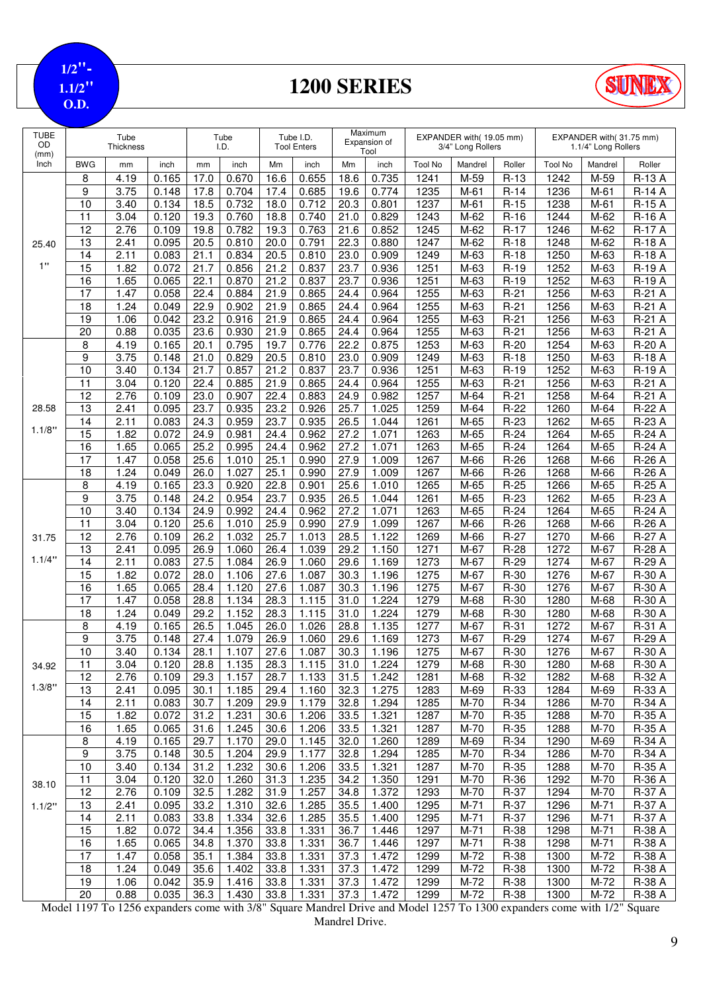**1/2"- 1.1/2" O.D.**

## **1200 SERIES**



| <b>TUBE</b><br>OD<br>(mm) | Tube<br>Thickness     |              |                | Tube<br>I.D. |                | Tube I.D.<br><b>Tool Enters</b> |                | Maximum<br>Expansion of<br>Tool |                | EXPANDER with(19.05 mm)<br>3/4" Long Rollers |              |                  | EXPANDER with(31.75 mm)<br>1.1/4" Long Rollers |              |                                |
|---------------------------|-----------------------|--------------|----------------|--------------|----------------|---------------------------------|----------------|---------------------------------|----------------|----------------------------------------------|--------------|------------------|------------------------------------------------|--------------|--------------------------------|
| Inch                      | <b>BWG</b>            | mm           | inch           | mm           | inch           | Mm                              | inch           | Mm                              | inch           | <b>Tool No</b>                               | Mandrel      | Roller           | <b>Tool No</b>                                 | Mandrel      | Roller                         |
|                           | 8                     | 4.19         | 0.165          | 17.0         | 0.670          | 16.6                            | 0.655          | 18.6                            | 0.735          | 1241                                         | M-59         | $R-13$           | 1242                                           | M-59         | R-13 A                         |
|                           | 9                     | 3.75         | 0.148          | 17.8         | 0.704          | 17.4                            | 0.685          | 19.6                            | 0.774          | 1235                                         | $M-61$       | $R-14$           | 1236                                           | $M-61$       | <b>R-14 A</b>                  |
|                           | 10                    | 3.40         | 0.134          | 18.5         | 0.732          | 18.0                            | 0.712          | 20.3                            | 0.801          | 1237                                         | $M-61$       | $R-15$           | 1238                                           | $M-61$       | R-15 A                         |
|                           | 11<br>12              | 3.04<br>2.76 | 0.120<br>0.109 | 19.3<br>19.8 | 0.760<br>0.782 | 18.8<br>19.3                    | 0.740<br>0.763 | 21.0<br>21.6                    | 0.829<br>0.852 | 1243<br>1245                                 | M-62<br>M-62 | $R-16$<br>$R-17$ | 1244<br>1246                                   | M-62<br>M-62 | <b>R-16 A</b><br><b>R-17 A</b> |
| 25.40                     | 13                    | 2.41         | 0.095          | 20.5         | 0.810          | 20.0                            | 0.791          | 22.3                            | 0.880          | 1247                                         | M-62         | $R-18$           | 1248                                           | M-62         | <b>R-18 A</b>                  |
|                           | 14                    | 2.11         | 0.083          | 21.1         | 0.834          | 20.5                            | 0.810          | 23.0                            | 0.909          | 1249                                         | M-63         | $R-18$           | 1250                                           | M-63         | R-18 A                         |
| 1"                        | $\overline{15}$       | 1.82         | 0.072          | 21.7         | 0.856          | 21.2                            | 0.837          | 23.7                            | 0.936          | 1251                                         | $M-63$       | $R-19$           | 1252                                           | M-63         | $R-19A$                        |
|                           | 16                    | 1.65         | 0.065          | 22.1         | 0.870          | 21.2                            | 0.837          | 23.7                            | 0.936          | 1251                                         | M-63         | $R-19$           | 1252                                           | M-63         | R-19 A                         |
|                           | $\overline{17}$       | 1.47         | 0.058          | 22.4         | 0.884          | 21.9                            | 0.865          | 24.4                            | 0.964          | 1255                                         | M-63         | $R-21$           | 1256                                           | M-63         | R-21 A                         |
|                           | 18                    | 1.24         | 0.049          | 22.9         | 0.902          | 21.9                            | 0.865          | 24.4                            | 0.964          | 1255                                         | M-63         | $R-21$           | 1256                                           | M-63         | R-21 A                         |
|                           | 19                    | 1.06         | 0.042          | 23.2         | 0.916          | 21.9                            | 0.865          | 24.4                            | 0.964          | 1255                                         | M-63         | $R-21$           | 1256                                           | M-63         | R-21 A                         |
|                           | 20                    | 0.88         | 0.035          | 23.6         | 0.930          | 21.9                            | 0.865          | 24.4                            | 0.964          | 1255                                         | M-63         | $R-21$           | 1256                                           | M-63         | R-21 A                         |
|                           | 8                     | 4.19         | 0.165          | 20.1         | 0.795          | 19.7                            | 0.776          | 22.2                            | 0.875          | 1253                                         | M-63         | $R-20$           | 1254                                           | M-63         | R-20 A                         |
|                           | 9                     | 3.75         | 0.148          | 21.0         | 0.829          | $20.\overline{5}$               | 0.810          | 23.0                            | 0.909          | 1249                                         | M-63         | $R-18$           | 1250                                           | M-63         | <b>R-18 A</b>                  |
|                           | $\overline{10}$       | 3.40<br>3.04 | 0.134          | 21.7         | 0.857          | 21.2                            | 0.837          | 23.7                            | 0.936          | 1251                                         | M-63         | $R-19$           | 1252<br>1256                                   | M-63         | R-19 A                         |
|                           | 11<br>$\overline{12}$ | 2.76         | 0.120<br>0.109 | 22.4<br>23.0 | 0.885<br>0.907 | 21.9<br>22.4                    | 0.865<br>0.883 | 24.4<br>24.9                    | 0.964<br>0.982 | 1255<br>1257                                 | M-63<br>M-64 | $R-21$<br>$R-21$ | 1258                                           | M-63<br>M-64 | R-21 A<br>R-21 A               |
| 28.58                     | 13                    | 2.41         | 0.095          | 23.7         | 0.935          | 23.2                            | 0.926          | 25.7                            | 1.025          | 1259                                         | M-64         | $R-22$           | 1260                                           | M-64         | <b>R-22 A</b>                  |
|                           | 14                    | 2.11         | 0.083          | 24.3         | 0.959          | 23.7                            | 0.935          | 26.5                            | 1.044          | 1261                                         | M-65         | $R-23$           | 1262                                           | M-65         | R-23 A                         |
| 1.1/8"                    | $\overline{15}$       | 1.82         | 0.072          | 24.9         | 0.981          | 24.4                            | 0.962          | 27.2                            | 1.071          | 1263                                         | M-65         | $R-24$           | 1264                                           | M-65         | R-24 A                         |
|                           | 16                    | 1.65         | 0.065          | 25.2         | 0.995          | 24.4                            | 0.962          | 27.2                            | 1.071          | 1263                                         | M-65         | $R-24$           | 1264                                           | M-65         | R-24 A                         |
|                           | 17                    | 1.47         | 0.058          | 25.6         | 1.010          | 25.1                            | 0.990          | 27.9                            | 1.009          | 1267                                         | M-66         | $R-26$           | 1268                                           | M-66         | R-26 A                         |
|                           | 18                    | 1.24         | 0.049          | 26.0         | 1.027          | 25.1                            | 0.990          | 27.9                            | 1.009          | 1267                                         | $M-66$       | $R-26$           | 1268                                           | M-66         | R-26 A                         |
|                           | 8                     | 4.19         | 0.165          | 23.3         | 0.920          | 22.8                            | 0.901          | 25.6                            | 1.010          | 1265                                         | M-65         | $R-25$           | 1266                                           | M-65         | R-25 A                         |
|                           | 9                     | 3.75         | 0.148          | 24.2         | 0.954          | 23.7                            | 0.935          | 26.5                            | 1.044          | 1261                                         | M-65         | $R-23$           | 1262                                           | M-65         | R-23 A                         |
|                           | 10                    | 3.40         | 0.134          | 24.9         | 0.992          | 24.4                            | 0.962          | 27.2                            | 1.071          | 1263                                         | M-65         | $R-24$           | 1264                                           | M-65         | R-24 A                         |
|                           | 11                    | 3.04         | 0.120          | 25.6         | 1.010          | 25.9                            | 0.990          | 27.9                            | 1.099          | 1267                                         | M-66         | $R-26$           | 1268                                           | M-66         | R-26 A                         |
| 31.75                     | 12                    | 2.76         | 0.109          | 26.2         | 1.032          | 25.7                            | 1.013          | 28.5                            | 1.122          | 1269                                         | $M-66$       | $R-27$           | 1270                                           | M-66         | R-27 A                         |
| 1.1/4"                    | 13                    | 2.41         | 0.095          | 26.9         | 1.060          | 26.4                            | 1.039          | 29.2                            | 1.150          | 1271                                         | M-67         | $R-28$           | 1272                                           | M-67         | R-28 A                         |
|                           | 14<br>15              | 2.11<br>1.82 | 0.083<br>0.072 | 27.5<br>28.0 | 1.084<br>1.106 | 26.9<br>27.6                    | 1.060<br>1.087 | 29.6<br>30.3                    | 1.169<br>1.196 | 1273<br>1275                                 | M-67<br>M-67 | $R-29$<br>R-30   | 1274<br>1276                                   | M-67<br>M-67 | R-29 A<br>R-30 A               |
|                           | 16                    | 1.65         | 0.065          | 28.4         | 1.120          | 27.6                            | 1.087          | 30.3                            | 1.196          | 1275                                         | M-67         | $R-30$           | 1276                                           | $M-67$       | R-30 A                         |
|                           | $\overline{17}$       | 1.47         | 0.058          | 28.8         | 1.134          | 28.3                            | 1.115          | 31.0                            | 1.224          | 1279                                         | $M-68$       | $R-30$           | 1280                                           | M-68         | R-30 A                         |
|                           | 18                    | 1.24         | 0.049          | 29.2         | 1.152          | 28.3                            | 1.115          | 31.0                            | 1.224          | 1279                                         | M-68         | $R-30$           | 1280                                           | M-68         | R-30 A                         |
|                           | 8                     | 4.19         | 0.165          | 26.5         | 1.045          | 26.0                            | 1.026          | 28.8                            | 1.135          | 1277                                         | M-67         | $R-31$           | 1272                                           | M-67         | R-31 A                         |
|                           | 9                     | 3.75         | 0.148          | 27.4         | 1.079          | 26.9                            | 1.060          | 29.6                            | 1.169          | 1273                                         | M-67         | $R-29$           | 1274                                           | M-67         | $\overline{R}$ -29 A           |
|                           | 10                    | 3.40         | 0.134          | 28.1         | 1.107          | 27.6                            | 1.087          | 30.3                            | 1.196          | 1275                                         | $M-67$       | $R-30$           | 1276                                           | $M-67$       | R-30 A                         |
| 34.92                     | 11                    | 3.04         | 0.120          | 28.8         | 1.135          | 28.3                            | 1.115          | 31.0                            | 1.224          | 1279                                         | M-68         | $R-30$           | 1280                                           | M-68         | R-30 A                         |
|                           | 12                    | 2.76         | 0.109          | 29.3         | 1.157          | 28.7                            | 1.133          | 31.5                            | 1.242          | 1281                                         | M-68         | R-32             | 1282                                           | M-68         | R-32 A                         |
| 1.3/8"                    | 13                    | 2.41         | 0.095          | 30.1         | 1.185          | 29.4                            | 1.160          | 32.3                            | 1.275          | 1283                                         | M-69         | R-33             | 1284                                           | M-69         | R-33 A                         |
|                           | 14                    | 2.11         | 0.083          | 30.7         | 1.209          | 29.9                            | 1.179          | 32.8                            | 1.294          | 1285                                         | M-70         | $R-34$           | 1286                                           | M-70         | R-34 A                         |
|                           | 15                    | 1.82         | 0.072          | 31.2         | 1.231          | 30.6                            | 1.206          | 33.5                            | 1.321          | $\frac{1}{287}$                              | M-70         | $R-35$           | 1288                                           | M-70         | R-35 A                         |
|                           | 16                    | 1.65<br>4.19 | 0.065          | 31.6         | 1.245          | 30.6                            | 1.206          | 33.5                            | 1.321          | 1287                                         | M-70         | R-35             | 1288                                           | M-70         | R-35 A                         |
|                           | 8<br>9                | 3.75         | 0.165<br>0.148 | 29.7<br>30.5 | 1.170<br>1.204 | 29.0<br>29.9                    | 1.145<br>1.177 | 32.0<br>32.8                    | 1.260<br>1.294 | 1289<br>1285                                 | M-69<br>M-70 | $R-34$<br>$R-34$ | 1290<br>1286                                   | M-69<br>M-70 | R-34 A<br>R-34 A               |
|                           | 10                    | 3.40         | 0.134          | 31.2         | 1.232          | 30.6                            | 1.206          | 33.5                            | 1.321          | 1287                                         | M-70         | $R-35$           | 1288                                           | M-70         | R-35 A                         |
|                           | 11                    | 3.04         | 0.120          | 32.0         | 1.260          | 31.3                            | 1.235          | 34.2                            | 1.350          | 1291                                         | M-70         | R-36             | 1292                                           | M-70         | R-36 A                         |
| 38.10                     | $\overline{12}$       | 2.76         | 0.109          | 32.5         | 1.282          | 31.9                            | 1.257          | 34.8                            | 1.372          | 1293                                         | M-70         | R-37             | 1294                                           | M-70         | R-37 A                         |
| 1.1/2"                    | 13                    | 2.41         | 0.095          | 33.2         | 1.310          | 32.6                            | 1.285          | 35.5                            | 1.400          | 1295                                         | $M-71$       | $R-37$           | 1296                                           | M-71         | R-37 A                         |
|                           | 14                    | 2.11         | 0.083          | 33.8         | 1.334          | 32.6                            | 1.285          | 35.5                            | 1.400          | 1295                                         | M-71         | $R-37$           | 1296                                           | M-71         | R-37 A                         |
|                           | 15                    | 1.82         | 0.072          | 34.4         | 1.356          | 33.8                            | 1.331          | 36.7                            | 1.446          | 1297                                         | $M-71$       | R-38             | 1298                                           | M-71         | <b>R-38 A</b>                  |
|                           | 16                    | 1.65         | 0.065          | 34.8         | 1.370          | 33.8                            | 1.331          | 36.7                            | 1.446          | 1297                                         | $M-71$       | R-38             | 1298                                           | $M-71$       | R-38 A                         |
|                           | 17                    | 1.47         | 0.058          | 35.1         | 1.384          | 33.8                            | 1.331          | 37.3                            | 1.472          | 1299                                         | M-72         | R-38             | 1300                                           | M-72         | R-38 A                         |
|                           | 18                    | 1.24         | 0.049          | 35.6         | 1.402          | 33.8                            | 1.331          | 37.3                            | 1.472          | 1299                                         | M-72         | R-38             | 1300                                           | M-72         | R-38 A                         |
|                           | 19                    | 1.06         | 0.042          | 35.9         | 1.416          | 33.8                            | 1.331          | 37.3                            | 1.472          | 1299                                         | M-72         | R-38             | 1300                                           | M-72         | R-38 A                         |
|                           | 20                    | 0.88         | 0.035          | 36.3         | 1.430          | 33.8                            | 1.331          | 37.3                            | 1.472          | 1299                                         | M-72         | R-38             | 1300                                           | M-72         | R-38 A                         |

Model 1197 To 1256 expanders come with 3/8" Square Mandrel Drive and Model 1257 To 1300 expanders come with 1/2" Square Mandrel Drive.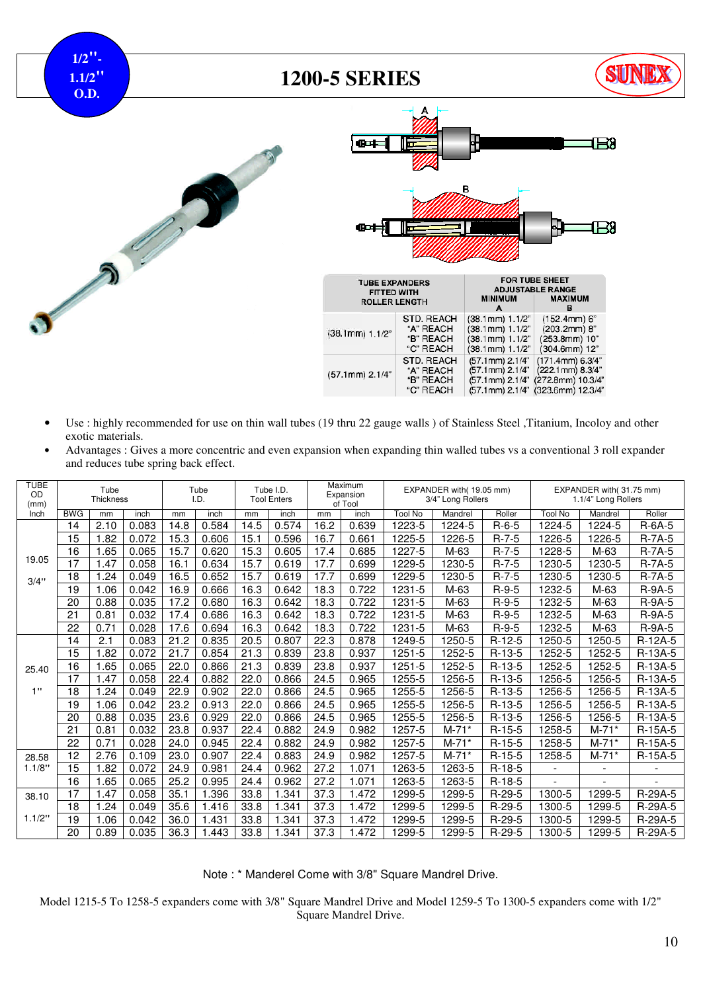**1/2"- 1.1/2" O.D.**

#### **1200-5 SERIES**







| <br><b>FITTED WITH</b><br><b>ROLLER LENGTH</b> |                                                   | <b>MINIMUM</b><br>А                                                          | <b>ADJUSTABLE RANGE</b><br><b>MAXIMUM</b>                                                      |
|------------------------------------------------|---------------------------------------------------|------------------------------------------------------------------------------|------------------------------------------------------------------------------------------------|
| $(38.1$ mm $) 1.1/2"$                          | STD. REACH<br>"A" REACH<br>"B" REACH<br>"C" REACH | $(38.1mm)$ 1.1/2"<br>$(38.1mm)$ 1.1/2"<br>(38.1mm) 1.1/2"<br>(38.1mm) 1.1/2" | $(152.4mm)$ 6"<br>$(203.2mm)$ 8"<br>(253.8mm) 10"<br>(304.6mm) 12"                             |
| (57.1mm) 2.1/4"                                | STD. REACH<br>"A" REACH<br>"B" REACH<br>"C" REACH | (57.1mm) 2.1/4"<br>(57.1mm) 2.1/4"<br>(57.1mm) 2.1/4"                        | (171.4mm) 6.3/4"<br>(222.1mm) 8.3/4"<br>(272.8mm) 10.3/4"<br>(57.1mm) 2.1/4" (323.6mm) 12.3/4" |

- Use : highly recommended for use on thin wall tubes (19 thru 22 gauge walls ) of Stainless Steel ,Titanium, Incoloy and other exotic materials.
- Advantages : Gives a more concentric and even expansion when expanding thin walled tubes vs a conventional 3 roll expander and reduces tube spring back effect.

| <b>TUBE</b><br>OD<br>(mm) | Tube<br><b>Thickness</b> |      |       | Tube<br>I.D. |       | Tube I.D.<br><b>Tool Enters</b> |       | Maximum<br>Expansion<br>of Tool |       | EXPANDER with(19.05 mm)<br>3/4" Long Rollers |         |             | EXPANDER with(31.75 mm)<br>1.1/4" Long Rollers |         |           |
|---------------------------|--------------------------|------|-------|--------------|-------|---------------------------------|-------|---------------------------------|-------|----------------------------------------------|---------|-------------|------------------------------------------------|---------|-----------|
| Inch                      | <b>BWG</b>               | mm   | inch  | mm           | inch  | mm                              | inch  | mm                              | inch  | <b>Tool No</b>                               | Mandrel | Roller      | <b>Tool No</b>                                 | Mandrel | Roller    |
|                           | 14                       | 2.10 | 0.083 | 14.8         | 0.584 | 14.5                            | 0.574 | 16.2                            | 0.639 | 1223-5                                       | 1224-5  | $R-6-5$     | 1224-5                                         | 1224-5  | $R-6A-5$  |
|                           | 15                       | 1.82 | 0.072 | 15.3         | 0.606 | 15.1                            | 0.596 | 16.7                            | 0.661 | 1225-5                                       | 1226-5  | $R-7-5$     | 1226-5                                         | 1226-5  | $R-7A-5$  |
|                           | 16                       | 1.65 | 0.065 | 15.7         | 0.620 | 15.3                            | 0.605 | 17.4                            | 0.685 | 1227-5                                       | M-63    | $R-7-5$     | 1228-5                                         | M-63    | $R-7A-5$  |
| 19.05                     | 17                       | 1.47 | 0.058 | 16.1         | 0.634 | 15.7                            | 0.619 | 17.7                            | 0.699 | 1229-5                                       | 1230-5  | $R-7-5$     | 1230-5                                         | 1230-5  | $R-7A-5$  |
| 3/4"                      | 18                       | 1.24 | 0.049 | 16.5         | 0.652 | 15.7                            | 0.619 | 17.7                            | 0.699 | 1229-5                                       | 1230-5  | $R - 7 - 5$ | 1230-5                                         | 1230-5  | $R-7A-5$  |
|                           | 19                       | 1.06 | 0.042 | 16.9         | 0.666 | 16.3                            | 0.642 | 18.3                            | 0.722 | 1231-5                                       | M-63    | $R-9-5$     | 1232-5                                         | M-63    | $R-9A-5$  |
|                           | 20                       | 0.88 | 0.035 | 17.2         | 0.680 | 16.3                            | 0.642 | 18.3                            | 0.722 | 1231-5                                       | M-63    | $R-9-5$     | 1232-5                                         | M-63    | $R-9A-5$  |
|                           | 21                       | 0.81 | 0.032 | 17.4         | 0.686 | 16.3                            | 0.642 | 18.3                            | 0.722 | 1231-5                                       | M-63    | $R-9-5$     | 1232-5                                         | M-63    | R-9A-5    |
|                           | 22                       | 0.71 | 0.028 | 17.6         | 0.694 | 16.3                            | 0.642 | 18.3                            | 0.722 | 1231-5                                       | M-63    | $R-9-5$     | 1232-5                                         | M-63    | $R-9A-5$  |
|                           | 14                       | 2.1  | 0.083 | 21.2         | 0.835 | 20.5                            | 0.807 | 22.3                            | 0.878 | 1249-5                                       | 1250-5  | $R-12-5$    | 1250-5                                         | 1250-5  | R-12A-5   |
|                           | 15                       | 1.82 | 0.072 | 21.7         | 0.854 | 21.3                            | 0.839 | 23.8                            | 0.937 | 1251-5                                       | 1252-5  | $R-13-5$    | 1252-5                                         | 1252-5  | R-13A-5   |
| 25.40                     | 16                       | 1.65 | 0.065 | 22.0         | 0.866 | 21.3                            | 0.839 | 23.8                            | 0.937 | 1251-5                                       | 1252-5  | $R-13-5$    | 1252-5                                         | 1252-5  | R-13A-5   |
|                           | 17                       | 1.47 | 0.058 | 22.4         | 0.882 | 22.0                            | 0.866 | 24.5                            | 0.965 | 1255-5                                       | 1256-5  | $R-13-5$    | 1256-5                                         | 1256-5  | $R-13A-5$ |
| 1"                        | 18                       | 1.24 | 0.049 | 22.9         | 0.902 | 22.0                            | 0.866 | 24.5                            | 0.965 | 1255-5                                       | 1256-5  | $R-13-5$    | 1256-5                                         | 1256-5  | R-13A-5   |
|                           | 19                       | 1.06 | 0.042 | 23.2         | 0.913 | 22.0                            | 0.866 | 24.5                            | 0.965 | 1255-5                                       | 1256-5  | $R-13-5$    | 1256-5                                         | 1256-5  | R-13A-5   |
|                           | 20                       | 0.88 | 0.035 | 23.6         | 0.929 | 22.0                            | 0.866 | 24.5                            | 0.965 | 1255-5                                       | 1256-5  | $R-13-5$    | 1256-5                                         | 1256-5  | R-13A-5   |
|                           | 21                       | 0.81 | 0.032 | 23.8         | 0.937 | 22.4                            | 0.882 | 24.9                            | 0.982 | 1257-5                                       | $M-71*$ | $R-15-5$    | 1258-5                                         | $M-71*$ | R-15A-5   |
|                           | 22                       | 0.71 | 0.028 | 24.0         | 0.945 | 22.4                            | 0.882 | 24.9                            | 0.982 | 1257-5                                       | $M-71*$ | $R-15-5$    | 1258-5                                         | $M-71*$ | R-15A-5   |
| 28.58                     | 12                       | 2.76 | 0.109 | 23.0         | 0.907 | 22.4                            | 0.883 | 24.9                            | 0.982 | 1257-5                                       | $M-71*$ | $R-15-5$    | 1258-5                                         | $M-71*$ | R-15A-5   |
| 1.1/8"                    | $\overline{15}$          | 1.82 | 0.072 | 24.9         | 0.981 | 24.4                            | 0.962 | 27.2                            | 1.071 | 1263-5                                       | 1263-5  | $R-18-5$    | $\blacksquare$                                 |         |           |
|                           | 16                       | 1.65 | 0.065 | 25.2         | 0.995 | 24.4                            | 0.962 | 27.2                            | .071  | 1263-5                                       | 1263-5  | $R-18-5$    |                                                |         |           |
| 38.10                     | 17                       | 1.47 | 0.058 | 35.1         | .396  | 33.8                            | .341  | 37.3                            | .472  | 299-5                                        | 1299-5  | $R-29-5$    | 1300-5                                         | 1299-5  | R-29A-5   |
|                           | 18                       | 1.24 | 0.049 | 35.6         | 1.416 | 33.8                            | 1.341 | 37.3                            | 1.472 | 1299-5                                       | 1299-5  | $R-29-5$    | 1300-5                                         | 1299-5  | R-29A-5   |
| 1.1/2"                    | 19                       | 1.06 | 0.042 | 36.0         | 1.431 | 33.8                            | .341  | 37.3                            | .472  | 1299-5                                       | 1299-5  | $R-29-5$    | 1300-5                                         | 1299-5  | R-29A-5   |
|                           | 20                       | 0.89 | 0.035 | 36.3         | .443  | 33.8                            | .341  | 37.3                            | .472  | 1299-5                                       | 1299-5  | $R-29-5$    | 1300-5                                         | 1299-5  | R-29A-5   |

Note : \* Manderel Come with 3/8" Square Mandrel Drive.

Model 1215-5 To 1258-5 expanders come with 3/8" Square Mandrel Drive and Model 1259-5 To 1300-5 expanders come with 1/2" Square Mandrel Drive.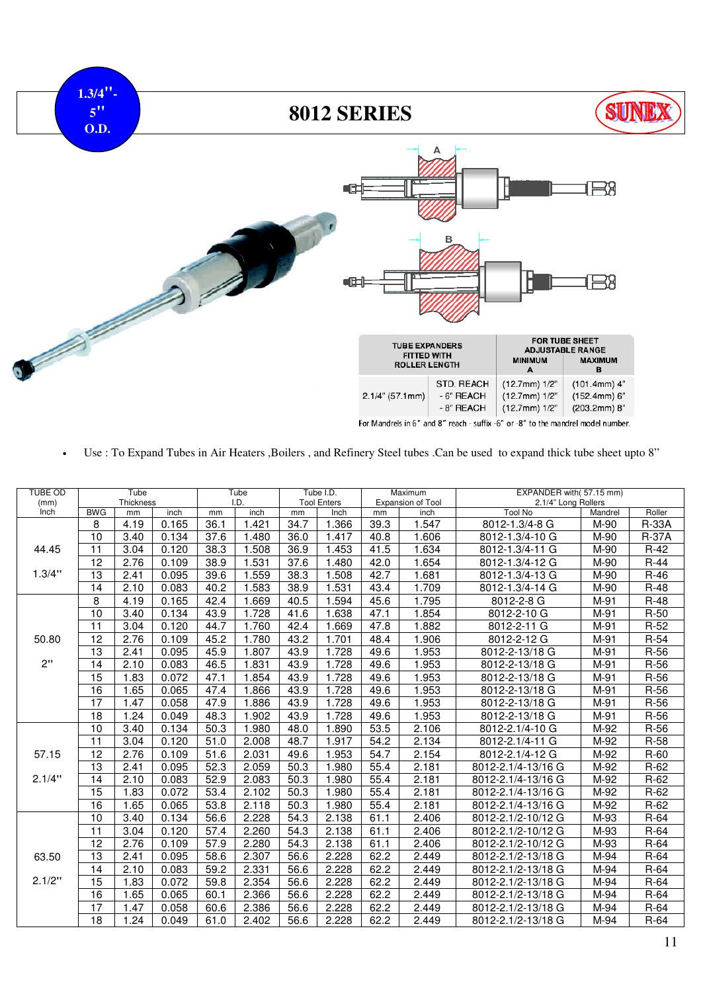

• Use : To Expand Tubes in Air Heaters ,Boilers , and Refinery Steel tubes .Can be used to expand thick tube sheet upto 8"

| <b>TUBE OD</b><br>(mm) |            | Tube<br>Thickness |       |      | Tube<br>I.D. |      | Tube I.D.<br><b>Tool Enters</b> |      | Maximum<br>Expansion of Tool | EXPANDER with(57.15 mm)<br>2.1/4" Long Rollers |                    |              |  |  |
|------------------------|------------|-------------------|-------|------|--------------|------|---------------------------------|------|------------------------------|------------------------------------------------|--------------------|--------------|--|--|
| Inch                   | <b>BWG</b> | mm                | inch  | mm   | inch         | mm   | Inch                            | mm   | inch                         | <b>Tool No</b>                                 | Mandrel            | Roller       |  |  |
|                        | 8          | 4.19              | 0.165 | 36.1 | 1.421        | 34.7 | 1.366                           | 39.3 | 1.547                        | 8012-1.3/4-8 G                                 | M-90               | <b>R-33A</b> |  |  |
|                        | 10         | 3.40              | 0.134 | 37.6 | 1.480        | 36.0 | 1.417                           | 40.8 | 1.606                        | 8012-1.3/4-10 G                                | M-90               | <b>R-37A</b> |  |  |
| 44.45                  | 11         | 3.04              | 0.120 | 38.3 | 1.508        | 36.9 | 1.453                           | 41.5 | 1.634                        | 8012-1.3/4-11 G                                | M-90               | $R-42$       |  |  |
|                        | 12         | 2.76              | 0.109 | 38.9 | 1.531        | 37.6 | 1.480                           | 42.0 | 1.654                        | 8012-1.3/4-12 G                                | M-90               | $R-44$       |  |  |
| 1.3/4"                 | 13         | 2.41              | 0.095 | 39.6 | 1.559        | 38.3 | 1.508                           | 42.7 | 1.681                        | 8012-1.3/4-13 G                                | M-90               | $R-46$       |  |  |
|                        | 14         | 2.10              | 0.083 | 40.2 | 1.583        | 38.9 | 1.531                           | 43.4 | 1.709                        | 8012-1.3/4-14 G                                | M-90               | $R-48$       |  |  |
|                        | 8          | 4.19              | 0.165 | 42.4 | 1.669        | 40.5 | 1.594                           | 45.6 | 1.795                        | 8012-2-8 G                                     | M-91               | $R-48$       |  |  |
|                        | 10         | 3.40              | 0.134 | 43.9 | 1.728        | 41.6 | 1.638                           | 47.1 | 1.854                        | 8012-2-10 G                                    | M-91               | $R-50$       |  |  |
|                        | 11         | 3.04              | 0.120 | 44.7 | 1.760        | 42.4 | 1.669                           | 47.8 | 1.882                        | 8012-2-11 G                                    | M-91               | $R-52$       |  |  |
| 50.80                  | 12         | 2.76              | 0.109 | 45.2 | 1.780        | 43.2 | 1.701                           | 48.4 | 1.906                        | 8012-2-12 G                                    | M-91               | $R-54$       |  |  |
|                        | 13         | 2.41              | 0.095 | 45.9 | 1.807        | 43.9 | 1.728                           | 49.6 | 1.953                        | 8012-2-13/18 G                                 | M-91               | $R-56$       |  |  |
| 2"                     | 14         | 2.10              | 0.083 | 46.5 | 1.831        | 43.9 | 1.728                           | 49.6 | 1.953                        | 8012-2-13/18 G                                 | $\overline{M}$ -91 | $R-56$       |  |  |
|                        | 15         | 1.83              | 0.072 | 47.1 | 1.854        | 43.9 | 1.728                           | 49.6 | 1.953                        | 8012-2-13/18 G                                 | M-91               | R-56         |  |  |
|                        | 16         | 1.65              | 0.065 | 47.4 | 1.866        | 43.9 | 1.728                           | 49.6 | 1.953                        | 8012-2-13/18 G                                 | M-91               | $R-56$       |  |  |
|                        | 17         | 1.47              | 0.058 | 47.9 | 1.886        | 43.9 | 1.728                           | 49.6 | 1.953                        | 8012-2-13/18 G                                 | M-91               | $R-56$       |  |  |
|                        | 18         | 1.24              | 0.049 | 48.3 | 1.902        | 43.9 | 1.728                           | 49.6 | 1.953                        | 8012-2-13/18 G                                 | M-91               | $R-56$       |  |  |
|                        | 10         | 3.40              | 0.134 | 50.3 | 1.980        | 48.0 | 1.890                           | 53.5 | 2.106                        | 8012-2.1/4-10 G                                | M-92               | $R-56$       |  |  |
|                        | 11         | 3.04              | 0.120 | 51.0 | 2.008        | 48.7 | 1.917                           | 54.2 | 2.134                        | 8012-2.1/4-11 G                                | M-92               | $R-58$       |  |  |
| 57.15                  | 12         | 2.76              | 0.109 | 51.6 | 2.031        | 49.6 | 1.953                           | 54.7 | 2.154                        | 8012-2.1/4-12 G                                | M-92               | $R-60$       |  |  |
|                        | 13         | 2.41              | 0.095 | 52.3 | 2.059        | 50.3 | 1.980                           | 55.4 | 2.181                        | 8012-2.1/4-13/16 G                             | M-92               | $R-62$       |  |  |
| 2.1/4"                 | 14         | 2.10              | 0.083 | 52.9 | 2.083        | 50.3 | 1.980                           | 55.4 | 2.181                        | 8012-2.1/4-13/16 G                             | M-92               | $R-62$       |  |  |
|                        | 15         | 1.83              | 0.072 | 53.4 | 2.102        | 50.3 | 1.980                           | 55.4 | 2.181                        | 8012-2.1/4-13/16 G                             | M-92               | $R-62$       |  |  |
|                        | 16         | 1.65              | 0.065 | 53.8 | 2.118        | 50.3 | 1.980                           | 55.4 | 2.181                        | 8012-2.1/4-13/16 G                             | M-92               | $R-62$       |  |  |
|                        | 10         | 3.40              | 0.134 | 56.6 | 2.228        | 54.3 | 2.138                           | 61.1 | 2.406                        | 8012-2.1/2-10/12 G                             | M-93               | $R-64$       |  |  |
|                        | 11         | 3.04              | 0.120 | 57.4 | 2.260        | 54.3 | 2.138                           | 61.1 | 2.406                        | 8012-2.1/2-10/12 G                             | M-93               | $R-64$       |  |  |
|                        | 12         | 2.76              | 0.109 | 57.9 | 2.280        | 54.3 | 2.138                           | 61.1 | 2.406                        | 8012-2.1/2-10/12 G                             | M-93               | $R-64$       |  |  |
| 63.50                  | 13         | 2.41              | 0.095 | 58.6 | 2.307        | 56.6 | 2.228                           | 62.2 | 2.449                        | 8012-2.1/2-13/18 G                             | M-94               | $R-64$       |  |  |
|                        | 14         | 2.10              | 0.083 | 59.2 | 2.331        | 56.6 | 2.228                           | 62.2 | 2.449                        | 8012-2.1/2-13/18 G                             | M-94               | $R-64$       |  |  |
| 2.1/2"                 | 15         | 1.83              | 0.072 | 59.8 | 2.354        | 56.6 | 2.228                           | 62.2 | 2.449                        | 8012-2.1/2-13/18 G                             | M-94               | $R-64$       |  |  |
|                        | 16         | 1.65              | 0.065 | 60.1 | 2.366        | 56.6 | 2.228                           | 62.2 | 2.449                        | 8012-2.1/2-13/18 G                             | M-94               | $R-64$       |  |  |
|                        | 17         | 1.47              | 0.058 | 60.6 | 2.386        | 56.6 | 2.228                           | 62.2 | 2.449                        | 8012-2.1/2-13/18 G                             | M-94               | $R-64$       |  |  |
|                        | 18         | 1.24              | 0.049 | 61.0 | 2.402        | 56.6 | 2.228                           | 62.2 | 2.449                        | 8012-2.1/2-13/18 G                             | M-94               | $R-64$       |  |  |